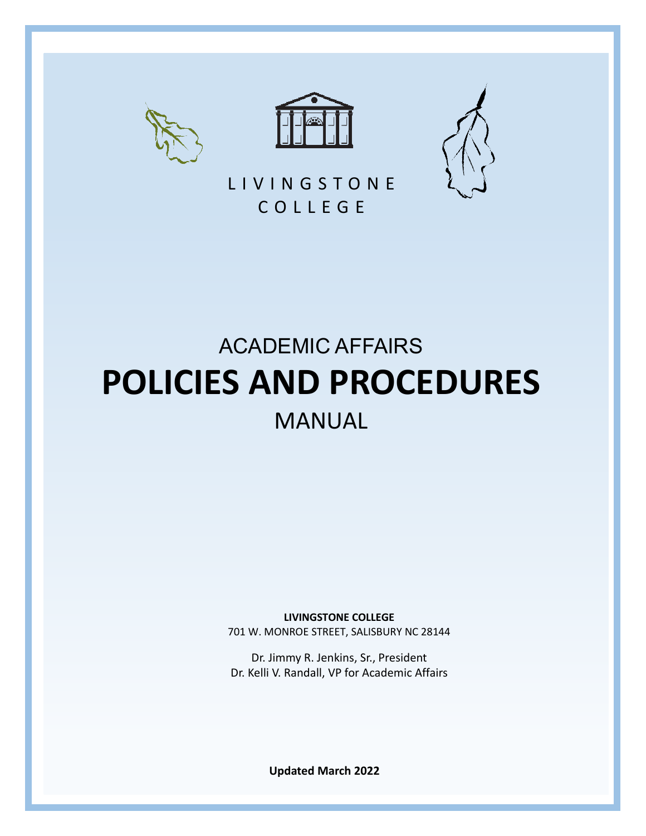





L I V I N G S T O N E C O L L E G E

# ACADEMIC AFFAIRS **POLICIES AND PROCEDURES** MANUAL

**LIVINGSTONE COLLEGE**

701 W. MONROE STREET, SALISBURY NC 28144

Dr. Jimmy R. Jenkins, Sr., President Dr. Kelli V. Randall, VP for Academic Affairs

1 **Updated March 2022**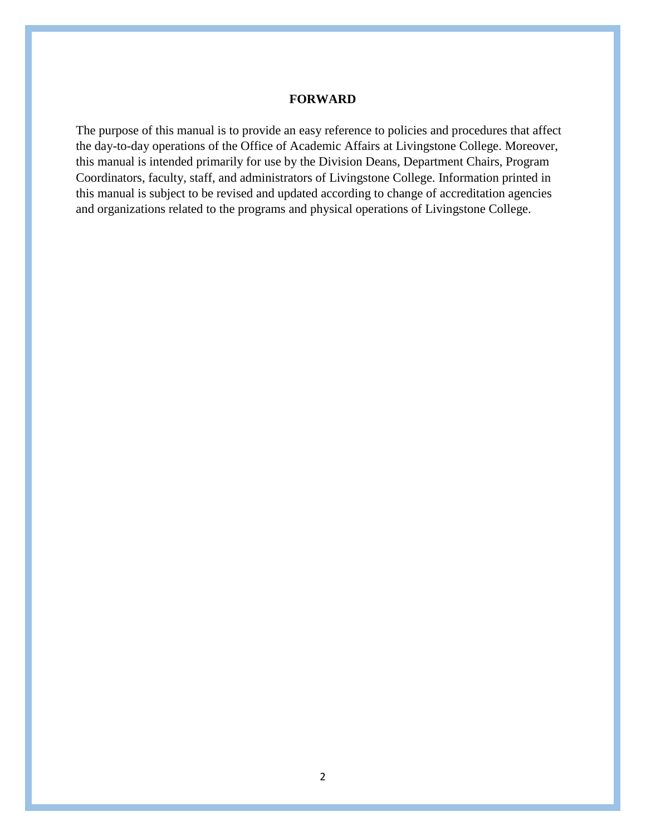#### **FORWARD**

The purpose of this manual is to provide an easy reference to policies and procedures that affect the day-to-day operations of the Office of Academic Affairs at Livingstone College. Moreover, this manual is intended primarily for use by the Division Deans, Department Chairs, Program Coordinators, faculty, staff, and administrators of Livingstone College. Information printed in this manual is subject to be revised and updated according to change of accreditation agencies and organizations related to the programs and physical operations of Livingstone College.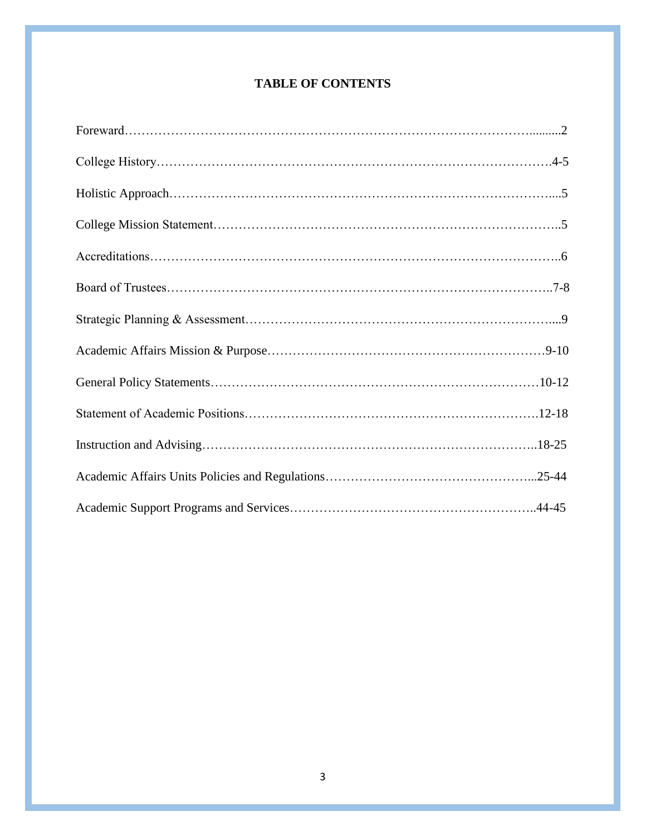# **TABLE OF CONTENTS**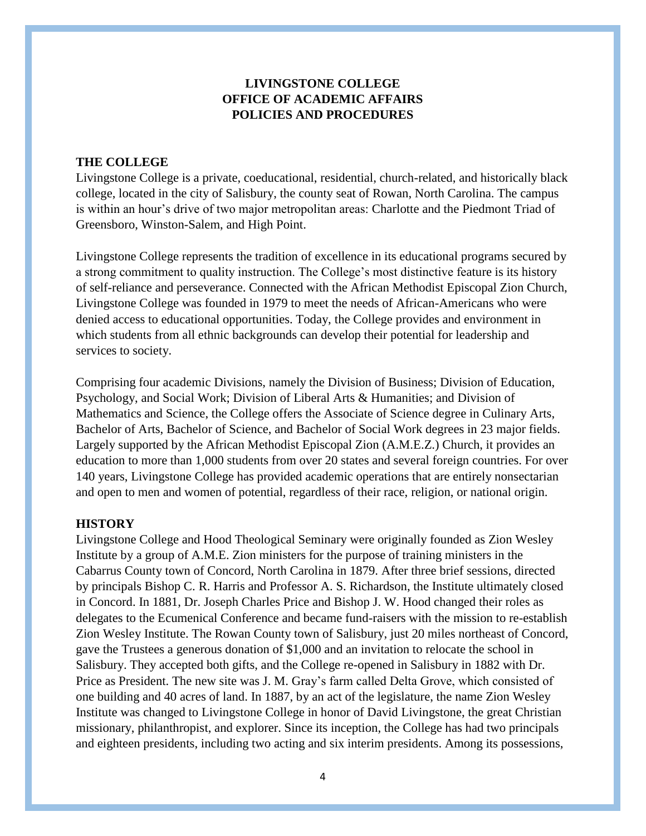# **LIVINGSTONE COLLEGE OFFICE OF ACADEMIC AFFAIRS POLICIES AND PROCEDURES**

#### **THE COLLEGE**

Livingstone College is a private, coeducational, residential, church-related, and historically black college, located in the city of Salisbury, the county seat of Rowan, North Carolina. The campus is within an hour's drive of two major metropolitan areas: Charlotte and the Piedmont Triad of Greensboro, Winston-Salem, and High Point.

Livingstone College represents the tradition of excellence in its educational programs secured by a strong commitment to quality instruction. The College's most distinctive feature is its history of self-reliance and perseverance. Connected with the African Methodist Episcopal Zion Church, Livingstone College was founded in 1979 to meet the needs of African-Americans who were denied access to educational opportunities. Today, the College provides and environment in which students from all ethnic backgrounds can develop their potential for leadership and services to society.

Comprising four academic Divisions, namely the Division of Business; Division of Education, Psychology, and Social Work; Division of Liberal Arts & Humanities; and Division of Mathematics and Science, the College offers the Associate of Science degree in Culinary Arts, Bachelor of Arts, Bachelor of Science, and Bachelor of Social Work degrees in 23 major fields. Largely supported by the African Methodist Episcopal Zion (A.M.E.Z.) Church, it provides an education to more than 1,000 students from over 20 states and several foreign countries. For over 140 years, Livingstone College has provided academic operations that are entirely nonsectarian and open to men and women of potential, regardless of their race, religion, or national origin.

#### **HISTORY**

Livingstone College and Hood Theological Seminary were originally founded as Zion Wesley Institute by a group of A.M.E. Zion ministers for the purpose of training ministers in the Cabarrus County town of Concord, North Carolina in 1879. After three brief sessions, directed by principals Bishop C. R. Harris and Professor A. S. Richardson, the Institute ultimately closed in Concord. In 1881, Dr. Joseph Charles Price and Bishop J. W. Hood changed their roles as delegates to the Ecumenical Conference and became fund-raisers with the mission to re-establish Zion Wesley Institute. The Rowan County town of Salisbury, just 20 miles northeast of Concord, gave the Trustees a generous donation of \$1,000 and an invitation to relocate the school in Salisbury. They accepted both gifts, and the College re-opened in Salisbury in 1882 with Dr. Price as President. The new site was J. M. Gray's farm called Delta Grove, which consisted of one building and 40 acres of land. In 1887, by an act of the legislature, the name Zion Wesley Institute was changed to Livingstone College in honor of David Livingstone, the great Christian missionary, philanthropist, and explorer. Since its inception, the College has had two principals and eighteen presidents, including two acting and six interim presidents. Among its possessions,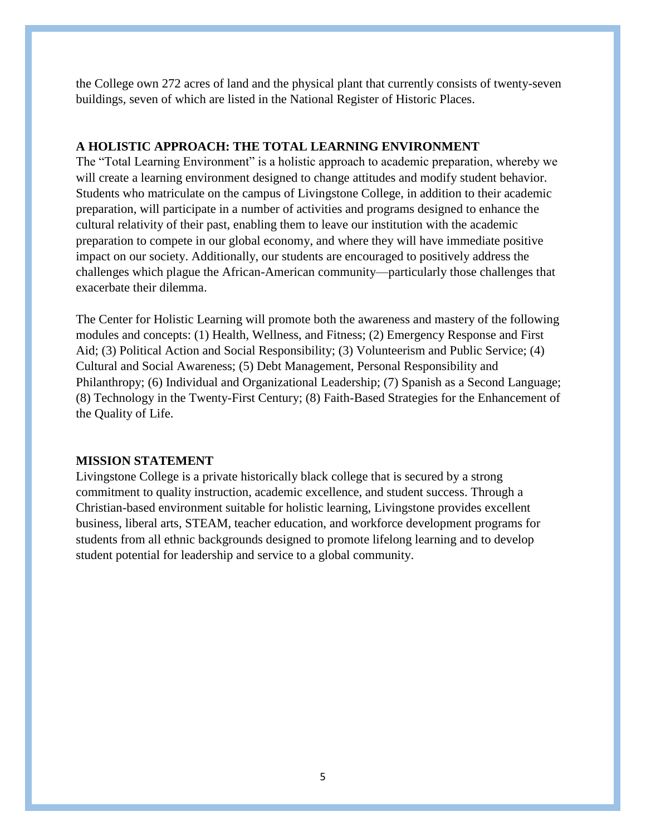the College own 272 acres of land and the physical plant that currently consists of twenty-seven buildings, seven of which are listed in the National Register of Historic Places.

#### **A HOLISTIC APPROACH: THE TOTAL LEARNING ENVIRONMENT**

The "Total Learning Environment" is a holistic approach to academic preparation, whereby we will create a learning environment designed to change attitudes and modify student behavior. Students who matriculate on the campus of Livingstone College, in addition to their academic preparation, will participate in a number of activities and programs designed to enhance the cultural relativity of their past, enabling them to leave our institution with the academic preparation to compete in our global economy, and where they will have immediate positive impact on our society. Additionally, our students are encouraged to positively address the challenges which plague the African-American community—particularly those challenges that exacerbate their dilemma.

The Center for Holistic Learning will promote both the awareness and mastery of the following modules and concepts: (1) Health, Wellness, and Fitness; (2) Emergency Response and First Aid; (3) Political Action and Social Responsibility; (3) Volunteerism and Public Service; (4) Cultural and Social Awareness; (5) Debt Management, Personal Responsibility and Philanthropy; (6) Individual and Organizational Leadership; (7) Spanish as a Second Language; (8) Technology in the Twenty-First Century; (8) Faith-Based Strategies for the Enhancement of the Quality of Life.

#### **MISSION STATEMENT**

Livingstone College is a private historically black college that is secured by a strong commitment to quality instruction, academic excellence, and student success. Through a Christian-based environment suitable for holistic learning, Livingstone provides excellent business, liberal arts, STEAM, teacher education, and workforce development programs for students from all ethnic backgrounds designed to promote lifelong learning and to develop student potential for leadership and service to a global community.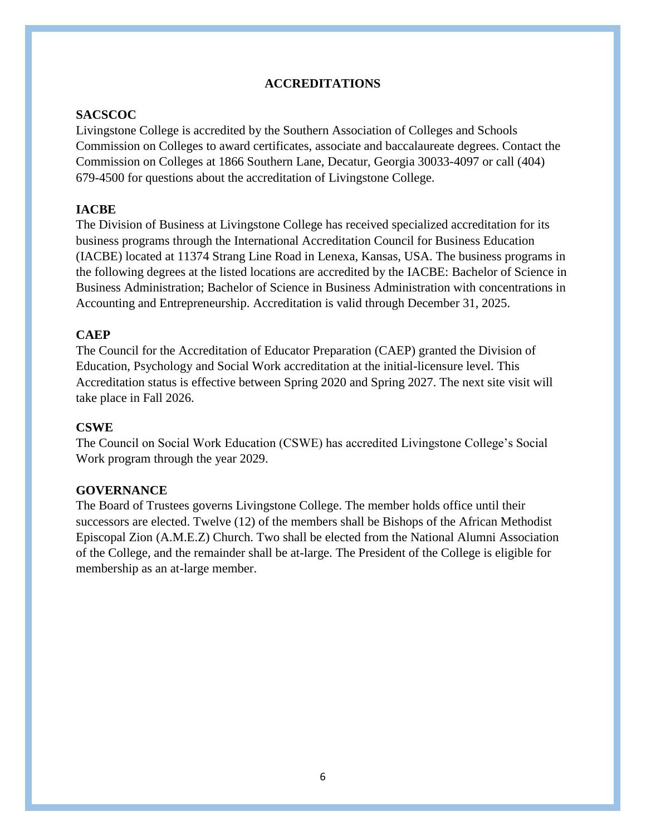# **ACCREDITATIONS**

## **SACSCOC**

Livingstone College is accredited by the Southern Association of Colleges and Schools Commission on Colleges to award certificates, associate and baccalaureate degrees. Contact the Commission on Colleges at 1866 Southern Lane, Decatur, Georgia 30033-4097 or call (404) 679-4500 for questions about the accreditation of Livingstone College.

# **IACBE**

The Division of Business at Livingstone College has received specialized accreditation for its business programs through the International Accreditation Council for Business Education (IACBE) located at 11374 Strang Line Road in Lenexa, Kansas, USA. The business programs in the following degrees at the listed locations are accredited by the IACBE: Bachelor of Science in Business Administration; Bachelor of Science in Business Administration with concentrations in Accounting and Entrepreneurship. Accreditation is valid through December 31, 2025.

### **CAEP**

The Council for the Accreditation of Educator Preparation (CAEP) granted the Division of Education, Psychology and Social Work accreditation at the initial-licensure level. This Accreditation status is effective between Spring 2020 and Spring 2027. The next site visit will take place in Fall 2026.

### **CSWE**

The Council on Social Work Education (CSWE) has accredited Livingstone College's Social Work program through the year 2029.

### **GOVERNANCE**

The Board of Trustees governs Livingstone College. The member holds office until their successors are elected. Twelve (12) of the members shall be Bishops of the African Methodist Episcopal Zion (A.M.E.Z) Church. Two shall be elected from the National Alumni Association of the College, and the remainder shall be at-large. The President of the College is eligible for membership as an at-large member.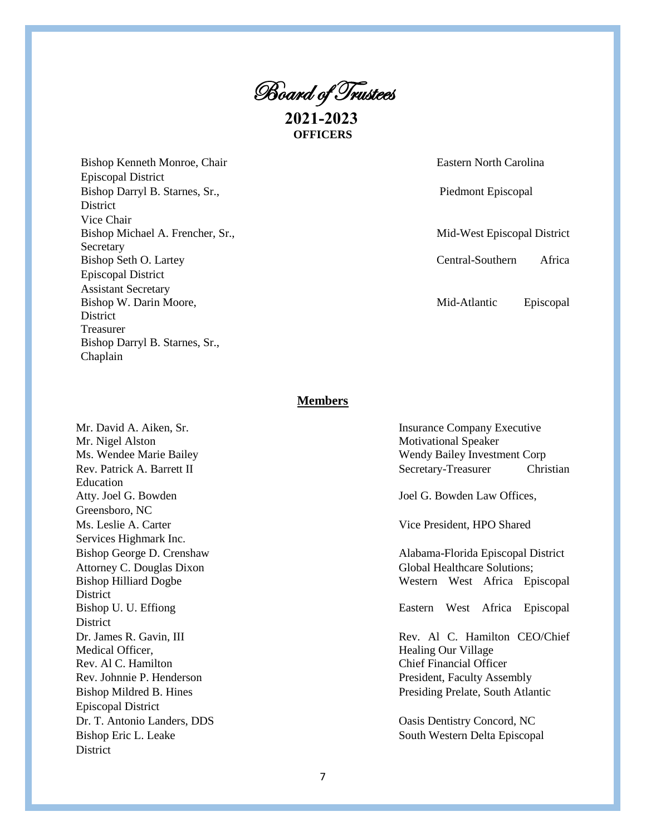Board of Trustees

**2021-2023 OFFICERS**

Bishop Kenneth Monroe, Chair Eastern North Carolina Episcopal District Bishop Darryl B. Starnes, Sr., Piedmont Episcopal District Vice Chair Bishop Michael A. Frencher, Sr., Mid-West Episcopal District **Secretary** Bishop Seth O. Lartey Central-Southern Africa Episcopal District Assistant Secretary Bishop W. Darin Moore, Mid-Atlantic Episcopal **District** Treasurer Bishop Darryl B. Starnes, Sr., Chaplain

#### **Members**

Mr. David A. Aiken, Sr. Mr. Nigel Alston Ms. Wendee Marie Bailey Rev. Patrick A. Barrett II Education Atty. Joel G. Bowden Greensboro, NC Ms. Leslie A. Carter Services Highmark Inc. Bishop George D. Crenshaw Attorney C. Douglas Dixon Bishop Hilliard Dogbe District Bishop U. U. Effiong District Dr. James R. Gavin, III Medical Officer, Rev. Al C. Hamilton Rev. Johnnie P. Henderson Bishop Mildred B. Hines Episcopal District Dr. T. Antonio Landers, DDS Bishop Eric L. Leake South Western Delta Episcopal District

| <b>Insurance Company Executive</b>  |  |                                    |
|-------------------------------------|--|------------------------------------|
| <b>Motivational Speaker</b>         |  |                                    |
| Wendy Bailey Investment Corp        |  |                                    |
| Secretary-Treasurer                 |  | Christian                          |
| Joel G. Bowden Law Offices,         |  |                                    |
| Vice President, HPO Shared          |  |                                    |
|                                     |  | Alabama-Florida Episcopal District |
| <b>Global Healthcare Solutions;</b> |  |                                    |
|                                     |  | Western West Africa Episcopal      |
|                                     |  | Eastern West Africa Episcopal      |
| <b>Healing Our Village</b>          |  | Rev. Al C. Hamilton CEO/Chief      |
| <b>Chief Financial Officer</b>      |  |                                    |
| President, Faculty Assembly         |  |                                    |
| Presiding Prelate, South Atlantic   |  |                                    |
| Oasis Dentistry Concord, NC         |  |                                    |
| South Western Delta Enisconal       |  |                                    |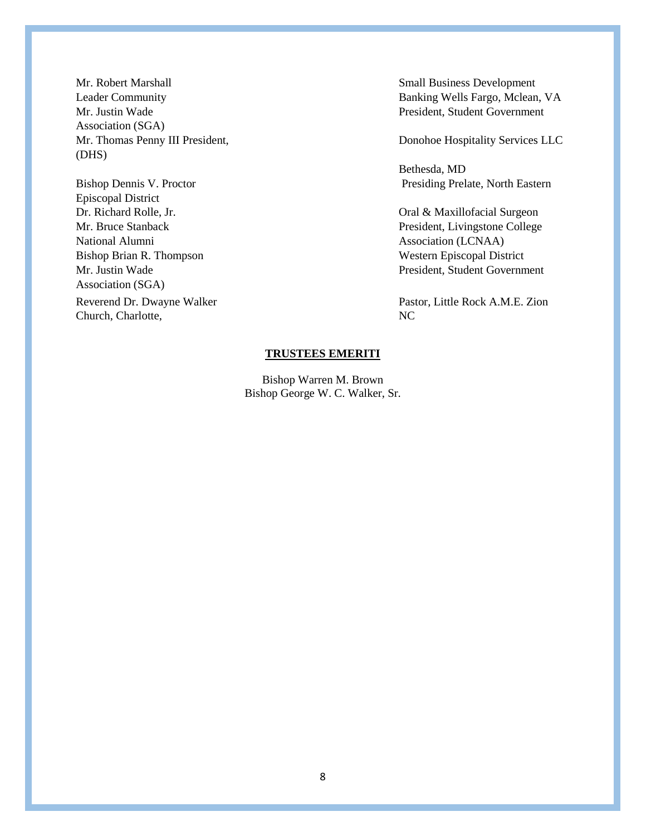Mr. Justin Wade President, Student Government Association (SGA) Mr. Thomas Penny III President, Donohoe Hospitality Services LLC (DHS)

Episcopal District Dr. Richard Rolle, Jr. Oral & Maxillofacial Surgeon National Alumni Association (LCNAA) Bishop Brian R. Thompson Western Episcopal District Association (SGA) Reverend Dr. Dwayne Walker Pastor, Little Rock A.M.E. Zion Church, Charlotte, NC

Mr. Robert Marshall Small Business Development Leader Community **Banking Wells Fargo, Mclean, VA** 

Bethesda, MD Bishop Dennis V. Proctor Presiding Prelate, North Eastern

Mr. Bruce Stanback President, Livingstone College Mr. Justin Wade President, Student Government

#### **TRUSTEES EMERITI**

Bishop Warren M. Brown Bishop George W. C. Walker, Sr.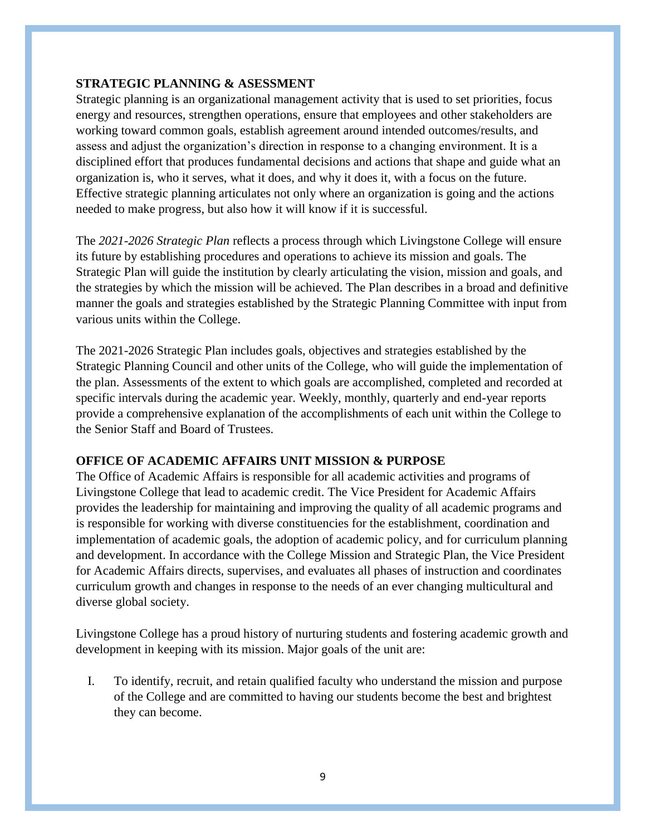### **STRATEGIC PLANNING & ASESSMENT**

Strategic planning is an organizational management activity that is used to set priorities, focus energy and resources, strengthen operations, ensure that employees and other stakeholders are working toward common goals, establish agreement around intended outcomes/results, and assess and adjust the organization's direction in response to a changing environment. It is a disciplined effort that produces fundamental decisions and actions that shape and guide what an organization is, who it serves, what it does, and why it does it, with a focus on the future. Effective strategic planning articulates not only where an organization is going and the actions needed to make progress, but also how it will know if it is successful.

The *2021-2026 Strategic Plan* reflects a process through which Livingstone College will ensure its future by establishing procedures and operations to achieve its mission and goals. The Strategic Plan will guide the institution by clearly articulating the vision, mission and goals, and the strategies by which the mission will be achieved. The Plan describes in a broad and definitive manner the goals and strategies established by the Strategic Planning Committee with input from various units within the College.

The 2021-2026 Strategic Plan includes goals, objectives and strategies established by the Strategic Planning Council and other units of the College, who will guide the implementation of the plan. Assessments of the extent to which goals are accomplished, completed and recorded at specific intervals during the academic year. Weekly, monthly, quarterly and end-year reports provide a comprehensive explanation of the accomplishments of each unit within the College to the Senior Staff and Board of Trustees.

# **OFFICE OF ACADEMIC AFFAIRS UNIT MISSION & PURPOSE**

The Office of Academic Affairs is responsible for all academic activities and programs of Livingstone College that lead to academic credit. The Vice President for Academic Affairs provides the leadership for maintaining and improving the quality of all academic programs and is responsible for working with diverse constituencies for the establishment, coordination and implementation of academic goals, the adoption of academic policy, and for curriculum planning and development. In accordance with the College Mission and Strategic Plan, the Vice President for Academic Affairs directs, supervises, and evaluates all phases of instruction and coordinates curriculum growth and changes in response to the needs of an ever changing multicultural and diverse global society.

Livingstone College has a proud history of nurturing students and fostering academic growth and development in keeping with its mission. Major goals of the unit are:

I. To identify, recruit, and retain qualified faculty who understand the mission and purpose of the College and are committed to having our students become the best and brightest they can become.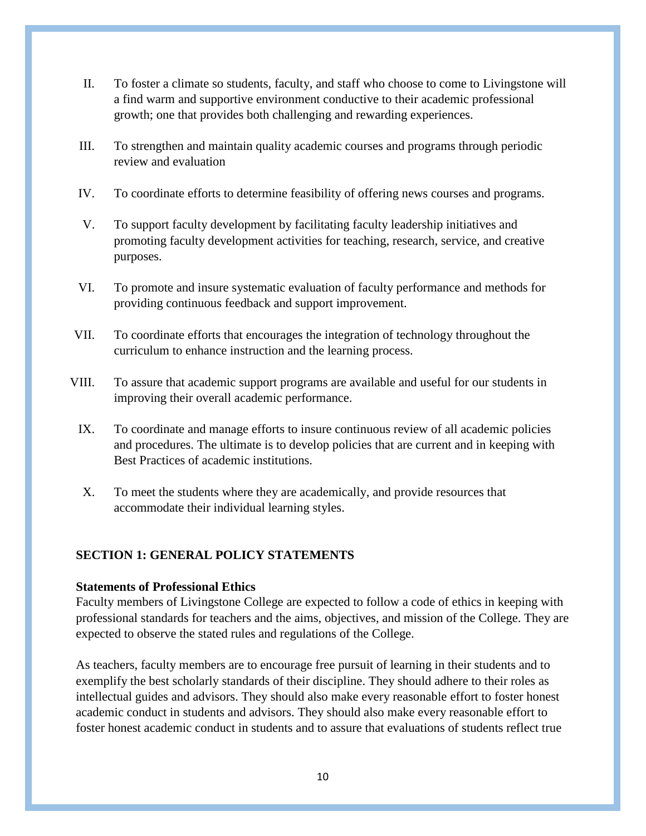- II. To foster a climate so students, faculty, and staff who choose to come to Livingstone will a find warm and supportive environment conductive to their academic professional growth; one that provides both challenging and rewarding experiences.
- III. To strengthen and maintain quality academic courses and programs through periodic review and evaluation
- IV. To coordinate efforts to determine feasibility of offering news courses and programs.
- V. To support faculty development by facilitating faculty leadership initiatives and promoting faculty development activities for teaching, research, service, and creative purposes.
- VI. To promote and insure systematic evaluation of faculty performance and methods for providing continuous feedback and support improvement.
- VII. To coordinate efforts that encourages the integration of technology throughout the curriculum to enhance instruction and the learning process.
- VIII. To assure that academic support programs are available and useful for our students in improving their overall academic performance.
	- IX. To coordinate and manage efforts to insure continuous review of all academic policies and procedures. The ultimate is to develop policies that are current and in keeping with Best Practices of academic institutions.
	- X. To meet the students where they are academically, and provide resources that accommodate their individual learning styles.

# **SECTION 1: GENERAL POLICY STATEMENTS**

### **Statements of Professional Ethics**

Faculty members of Livingstone College are expected to follow a code of ethics in keeping with professional standards for teachers and the aims, objectives, and mission of the College. They are expected to observe the stated rules and regulations of the College.

As teachers, faculty members are to encourage free pursuit of learning in their students and to exemplify the best scholarly standards of their discipline. They should adhere to their roles as intellectual guides and advisors. They should also make every reasonable effort to foster honest academic conduct in students and advisors. They should also make every reasonable effort to foster honest academic conduct in students and to assure that evaluations of students reflect true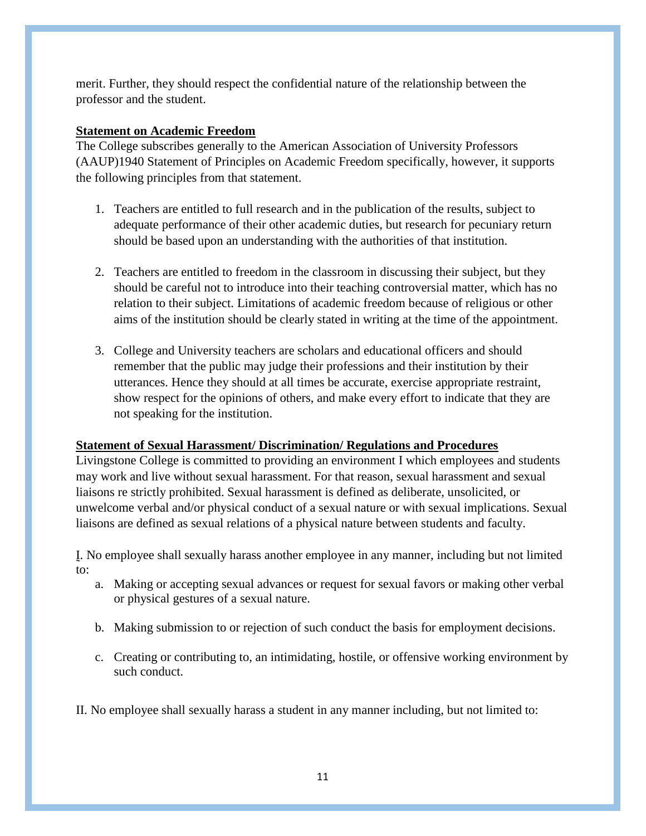merit. Further, they should respect the confidential nature of the relationship between the professor and the student.

# **Statement on Academic Freedom**

The College subscribes generally to the American Association of University Professors (AAUP)1940 Statement of Principles on Academic Freedom specifically, however, it supports the following principles from that statement.

- 1. Teachers are entitled to full research and in the publication of the results, subject to adequate performance of their other academic duties, but research for pecuniary return should be based upon an understanding with the authorities of that institution.
- 2. Teachers are entitled to freedom in the classroom in discussing their subject, but they should be careful not to introduce into their teaching controversial matter, which has no relation to their subject. Limitations of academic freedom because of religious or other aims of the institution should be clearly stated in writing at the time of the appointment.
- 3. College and University teachers are scholars and educational officers and should remember that the public may judge their professions and their institution by their utterances. Hence they should at all times be accurate, exercise appropriate restraint, show respect for the opinions of others, and make every effort to indicate that they are not speaking for the institution.

### **Statement of Sexual Harassment/ Discrimination/ Regulations and Procedures**

Livingstone College is committed to providing an environment I which employees and students may work and live without sexual harassment. For that reason, sexual harassment and sexual liaisons re strictly prohibited. Sexual harassment is defined as deliberate, unsolicited, or unwelcome verbal and/or physical conduct of a sexual nature or with sexual implications. Sexual liaisons are defined as sexual relations of a physical nature between students and faculty.

Ḭ. No employee shall sexually harass another employee in any manner, including but not limited to:

- a. Making or accepting sexual advances or request for sexual favors or making other verbal or physical gestures of a sexual nature.
- b. Making submission to or rejection of such conduct the basis for employment decisions.
- c. Creating or contributing to, an intimidating, hostile, or offensive working environment by such conduct.

II. No employee shall sexually harass a student in any manner including, but not limited to: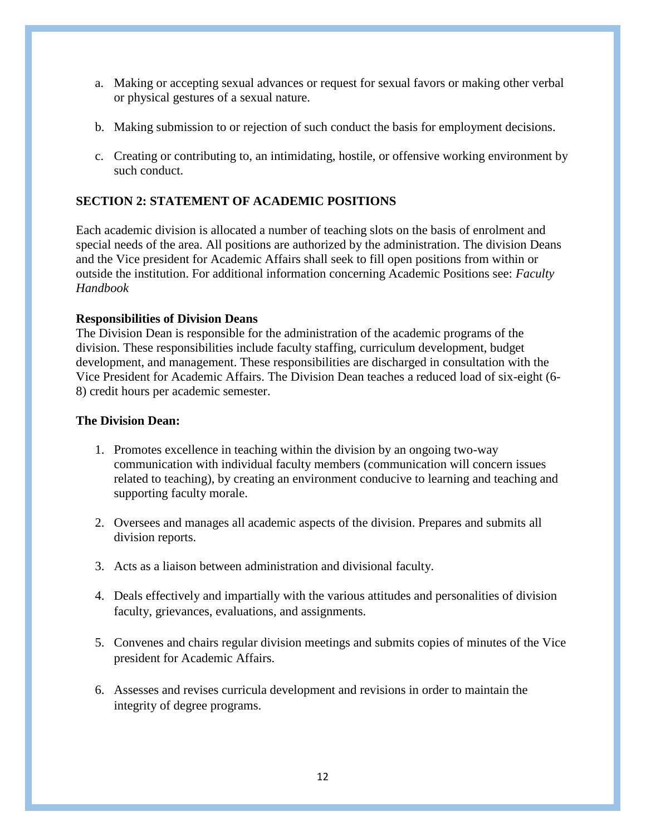- a. Making or accepting sexual advances or request for sexual favors or making other verbal or physical gestures of a sexual nature.
- b. Making submission to or rejection of such conduct the basis for employment decisions.
- c. Creating or contributing to, an intimidating, hostile, or offensive working environment by such conduct.

# **SECTION 2: STATEMENT OF ACADEMIC POSITIONS**

Each academic division is allocated a number of teaching slots on the basis of enrolment and special needs of the area. All positions are authorized by the administration. The division Deans and the Vice president for Academic Affairs shall seek to fill open positions from within or outside the institution. For additional information concerning Academic Positions see: *Faculty Handbook* 

# **Responsibilities of Division Deans**

The Division Dean is responsible for the administration of the academic programs of the division. These responsibilities include faculty staffing, curriculum development, budget development, and management. These responsibilities are discharged in consultation with the Vice President for Academic Affairs. The Division Dean teaches a reduced load of six-eight (6- 8) credit hours per academic semester.

### **The Division Dean:**

- 1. Promotes excellence in teaching within the division by an ongoing two-way communication with individual faculty members (communication will concern issues related to teaching), by creating an environment conducive to learning and teaching and supporting faculty morale.
- 2. Oversees and manages all academic aspects of the division. Prepares and submits all division reports.
- 3. Acts as a liaison between administration and divisional faculty.
- 4. Deals effectively and impartially with the various attitudes and personalities of division faculty, grievances, evaluations, and assignments.
- 5. Convenes and chairs regular division meetings and submits copies of minutes of the Vice president for Academic Affairs.
- 6. Assesses and revises curricula development and revisions in order to maintain the integrity of degree programs.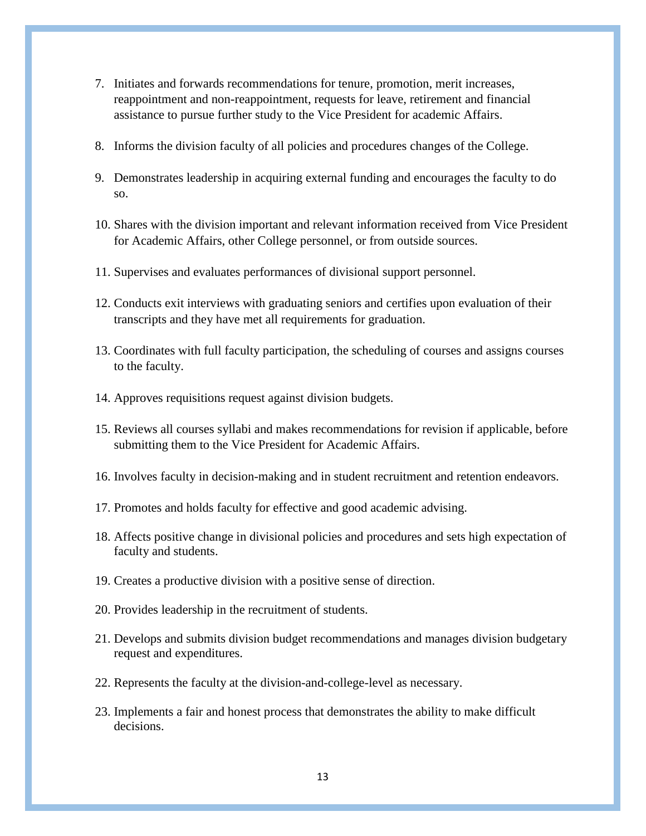- 7. Initiates and forwards recommendations for tenure, promotion, merit increases, reappointment and non-reappointment, requests for leave, retirement and financial assistance to pursue further study to the Vice President for academic Affairs.
- 8. Informs the division faculty of all policies and procedures changes of the College.
- 9. Demonstrates leadership in acquiring external funding and encourages the faculty to do so.
- 10. Shares with the division important and relevant information received from Vice President for Academic Affairs, other College personnel, or from outside sources.
- 11. Supervises and evaluates performances of divisional support personnel.
- 12. Conducts exit interviews with graduating seniors and certifies upon evaluation of their transcripts and they have met all requirements for graduation.
- 13. Coordinates with full faculty participation, the scheduling of courses and assigns courses to the faculty.
- 14. Approves requisitions request against division budgets.
- 15. Reviews all courses syllabi and makes recommendations for revision if applicable, before submitting them to the Vice President for Academic Affairs.
- 16. Involves faculty in decision-making and in student recruitment and retention endeavors.
- 17. Promotes and holds faculty for effective and good academic advising.
- 18. Affects positive change in divisional policies and procedures and sets high expectation of faculty and students.
- 19. Creates a productive division with a positive sense of direction.
- 20. Provides leadership in the recruitment of students.
- 21. Develops and submits division budget recommendations and manages division budgetary request and expenditures.
- 22. Represents the faculty at the division-and-college-level as necessary.
- 23. Implements a fair and honest process that demonstrates the ability to make difficult decisions.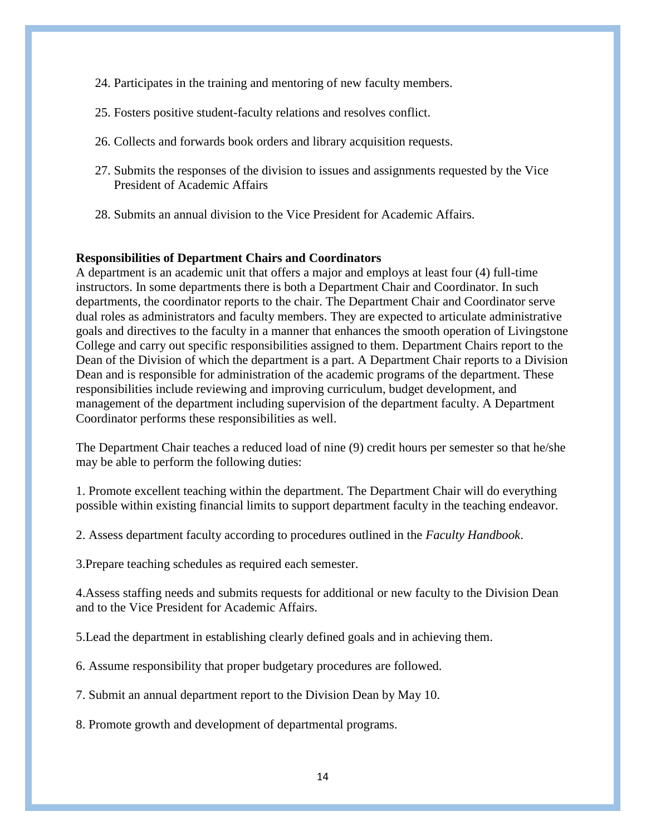- 24. Participates in the training and mentoring of new faculty members.
- 25. Fosters positive student-faculty relations and resolves conflict.
- 26. Collects and forwards book orders and library acquisition requests.
- 27. Submits the responses of the division to issues and assignments requested by the Vice President of Academic Affairs
- 28. Submits an annual division to the Vice President for Academic Affairs.

#### **Responsibilities of Department Chairs and Coordinators**

A department is an academic unit that offers a major and employs at least four (4) full-time instructors. In some departments there is both a Department Chair and Coordinator. In such departments, the coordinator reports to the chair. The Department Chair and Coordinator serve dual roles as administrators and faculty members. They are expected to articulate administrative goals and directives to the faculty in a manner that enhances the smooth operation of Livingstone College and carry out specific responsibilities assigned to them. Department Chairs report to the Dean of the Division of which the department is a part. A Department Chair reports to a Division Dean and is responsible for administration of the academic programs of the department. These responsibilities include reviewing and improving curriculum, budget development, and management of the department including supervision of the department faculty. A Department Coordinator performs these responsibilities as well.

The Department Chair teaches a reduced load of nine (9) credit hours per semester so that he/she may be able to perform the following duties:

1. Promote excellent teaching within the department. The Department Chair will do everything possible within existing financial limits to support department faculty in the teaching endeavor.

2. Assess department faculty according to procedures outlined in the *Faculty Handbook*.

3.Prepare teaching schedules as required each semester.

4.Assess staffing needs and submits requests for additional or new faculty to the Division Dean and to the Vice President for Academic Affairs.

5.Lead the department in establishing clearly defined goals and in achieving them.

6. Assume responsibility that proper budgetary procedures are followed.

7. Submit an annual department report to the Division Dean by May 10.

8. Promote growth and development of departmental programs.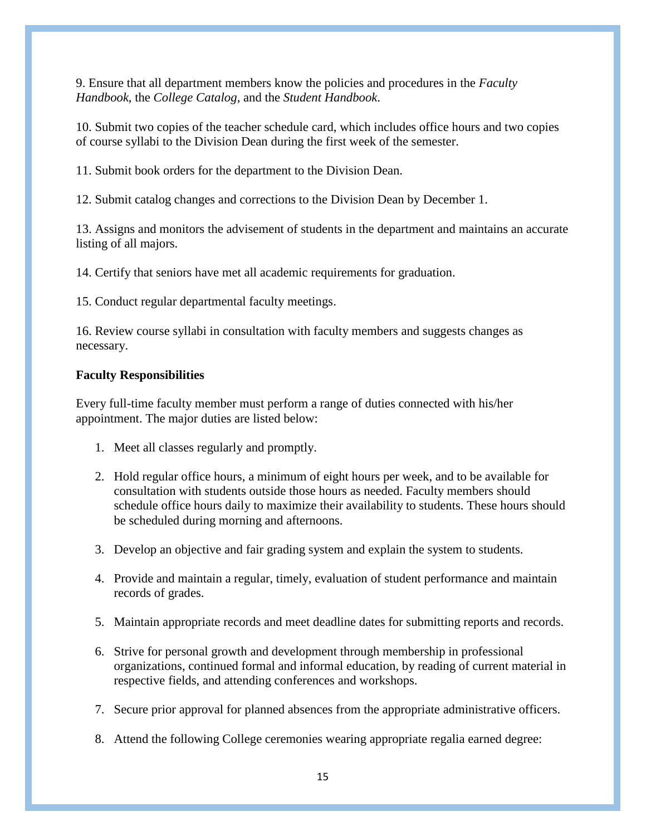9. Ensure that all department members know the policies and procedures in the *Faculty Handbook*, the *College Catalog*, and the *Student Handbook*.

10. Submit two copies of the teacher schedule card, which includes office hours and two copies of course syllabi to the Division Dean during the first week of the semester.

11. Submit book orders for the department to the Division Dean.

12. Submit catalog changes and corrections to the Division Dean by December 1.

13. Assigns and monitors the advisement of students in the department and maintains an accurate listing of all majors.

14. Certify that seniors have met all academic requirements for graduation.

15. Conduct regular departmental faculty meetings.

16. Review course syllabi in consultation with faculty members and suggests changes as necessary.

### **Faculty Responsibilities**

Every full-time faculty member must perform a range of duties connected with his/her appointment. The major duties are listed below:

- 1. Meet all classes regularly and promptly.
- 2. Hold regular office hours, a minimum of eight hours per week, and to be available for consultation with students outside those hours as needed. Faculty members should schedule office hours daily to maximize their availability to students. These hours should be scheduled during morning and afternoons.
- 3. Develop an objective and fair grading system and explain the system to students.
- 4. Provide and maintain a regular, timely, evaluation of student performance and maintain records of grades.
- 5. Maintain appropriate records and meet deadline dates for submitting reports and records.
- 6. Strive for personal growth and development through membership in professional organizations, continued formal and informal education, by reading of current material in respective fields, and attending conferences and workshops.
- 7. Secure prior approval for planned absences from the appropriate administrative officers.
- 8. Attend the following College ceremonies wearing appropriate regalia earned degree: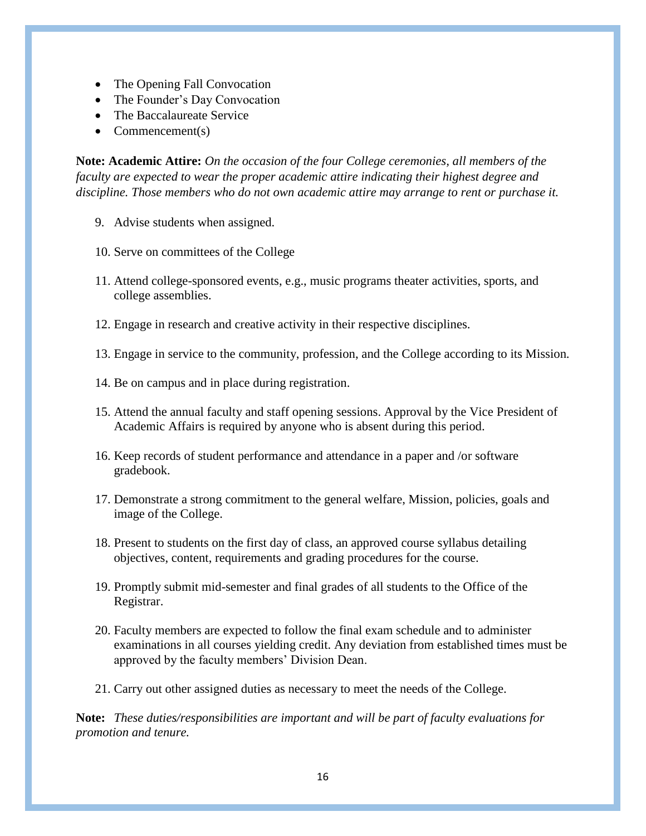- The Opening Fall Convocation
- The Founder's Day Convocation
- The Baccalaureate Service
- $\bullet$  Commencement(s)

**Note: Academic Attire:** *On the occasion of the four College ceremonies, all members of the faculty are expected to wear the proper academic attire indicating their highest degree and discipline. Those members who do not own academic attire may arrange to rent or purchase it.*

- 9. Advise students when assigned.
- 10. Serve on committees of the College
- 11. Attend college-sponsored events, e.g., music programs theater activities, sports, and college assemblies.
- 12. Engage in research and creative activity in their respective disciplines.
- 13. Engage in service to the community, profession, and the College according to its Mission.
- 14. Be on campus and in place during registration.
- 15. Attend the annual faculty and staff opening sessions. Approval by the Vice President of Academic Affairs is required by anyone who is absent during this period.
- 16. Keep records of student performance and attendance in a paper and /or software gradebook.
- 17. Demonstrate a strong commitment to the general welfare, Mission, policies, goals and image of the College.
- 18. Present to students on the first day of class, an approved course syllabus detailing objectives, content, requirements and grading procedures for the course.
- 19. Promptly submit mid-semester and final grades of all students to the Office of the Registrar.
- 20. Faculty members are expected to follow the final exam schedule and to administer examinations in all courses yielding credit. Any deviation from established times must be approved by the faculty members' Division Dean.
- 21. Carry out other assigned duties as necessary to meet the needs of the College.

**Note:** *These duties/responsibilities are important and will be part of faculty evaluations for promotion and tenure.*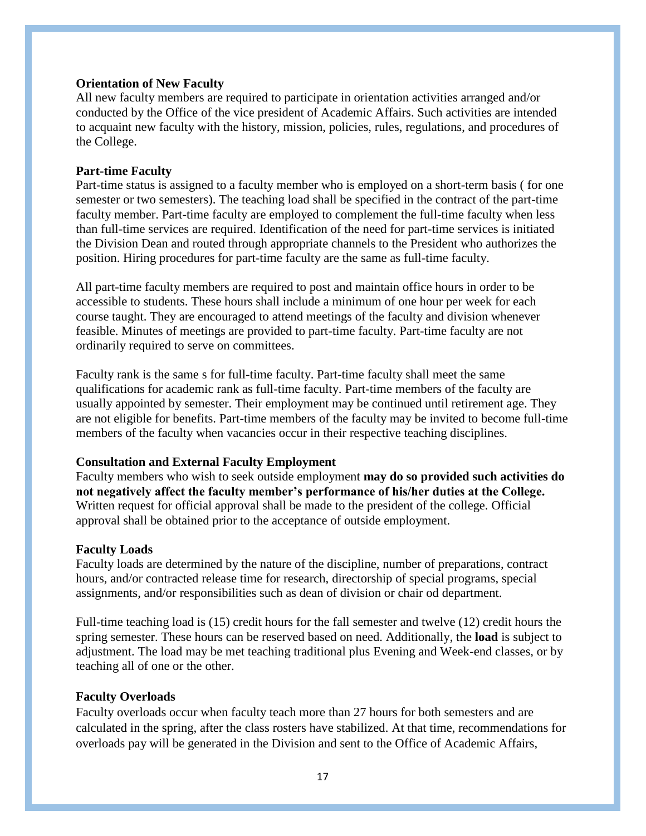#### **Orientation of New Faculty**

All new faculty members are required to participate in orientation activities arranged and/or conducted by the Office of the vice president of Academic Affairs. Such activities are intended to acquaint new faculty with the history, mission, policies, rules, regulations, and procedures of the College.

#### **Part-time Faculty**

Part-time status is assigned to a faculty member who is employed on a short-term basis ( for one semester or two semesters). The teaching load shall be specified in the contract of the part-time faculty member. Part-time faculty are employed to complement the full-time faculty when less than full-time services are required. Identification of the need for part-time services is initiated the Division Dean and routed through appropriate channels to the President who authorizes the position. Hiring procedures for part-time faculty are the same as full-time faculty.

All part-time faculty members are required to post and maintain office hours in order to be accessible to students. These hours shall include a minimum of one hour per week for each course taught. They are encouraged to attend meetings of the faculty and division whenever feasible. Minutes of meetings are provided to part-time faculty. Part-time faculty are not ordinarily required to serve on committees.

Faculty rank is the same s for full-time faculty. Part-time faculty shall meet the same qualifications for academic rank as full-time faculty. Part-time members of the faculty are usually appointed by semester. Their employment may be continued until retirement age. They are not eligible for benefits. Part-time members of the faculty may be invited to become full-time members of the faculty when vacancies occur in their respective teaching disciplines.

### **Consultation and External Faculty Employment**

Faculty members who wish to seek outside employment **may do so provided such activities do not negatively affect the faculty member's performance of his/her duties at the College.** Written request for official approval shall be made to the president of the college. Official approval shall be obtained prior to the acceptance of outside employment.

#### **Faculty Loads**

Faculty loads are determined by the nature of the discipline, number of preparations, contract hours, and/or contracted release time for research, directorship of special programs, special assignments, and/or responsibilities such as dean of division or chair od department.

Full-time teaching load is (15) credit hours for the fall semester and twelve (12) credit hours the spring semester. These hours can be reserved based on need. Additionally, the **load** is subject to adjustment. The load may be met teaching traditional plus Evening and Week-end classes, or by teaching all of one or the other.

#### **Faculty Overloads**

Faculty overloads occur when faculty teach more than 27 hours for both semesters and are calculated in the spring, after the class rosters have stabilized. At that time, recommendations for overloads pay will be generated in the Division and sent to the Office of Academic Affairs,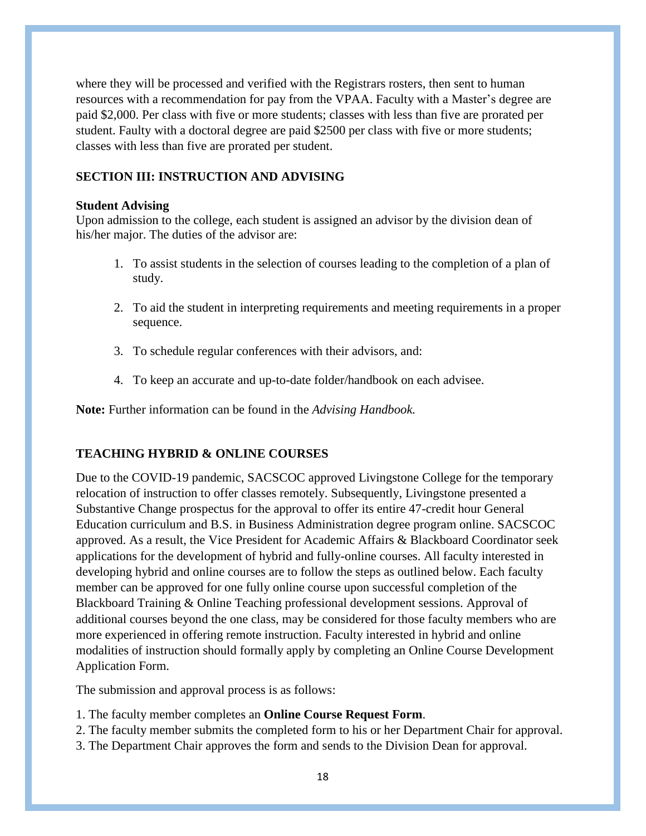where they will be processed and verified with the Registrars rosters, then sent to human resources with a recommendation for pay from the VPAA. Faculty with a Master's degree are paid \$2,000. Per class with five or more students; classes with less than five are prorated per student. Faulty with a doctoral degree are paid \$2500 per class with five or more students; classes with less than five are prorated per student.

## **SECTION III: INSTRUCTION AND ADVISING**

#### **Student Advising**

Upon admission to the college, each student is assigned an advisor by the division dean of his/her major. The duties of the advisor are:

- 1. To assist students in the selection of courses leading to the completion of a plan of study.
- 2. To aid the student in interpreting requirements and meeting requirements in a proper sequence.
- 3. To schedule regular conferences with their advisors, and:
- 4. To keep an accurate and up-to-date folder/handbook on each advisee.

**Note:** Further information can be found in the *Advising Handbook.*

# **TEACHING HYBRID & ONLINE COURSES**

Due to the COVID-19 pandemic, SACSCOC approved Livingstone College for the temporary relocation of instruction to offer classes remotely. Subsequently, Livingstone presented a Substantive Change prospectus for the approval to offer its entire 47-credit hour General Education curriculum and B.S. in Business Administration degree program online. SACSCOC approved. As a result, the Vice President for Academic Affairs & Blackboard Coordinator seek applications for the development of hybrid and fully-online courses. All faculty interested in developing hybrid and online courses are to follow the steps as outlined below. Each faculty member can be approved for one fully online course upon successful completion of the Blackboard Training & Online Teaching professional development sessions. Approval of additional courses beyond the one class, may be considered for those faculty members who are more experienced in offering remote instruction. Faculty interested in hybrid and online modalities of instruction should formally apply by completing an Online Course Development Application Form.

The submission and approval process is as follows:

- 1. The faculty member completes an **Online Course Request Form**.
- 2. The faculty member submits the completed form to his or her Department Chair for approval.
- 3. The Department Chair approves the form and sends to the Division Dean for approval.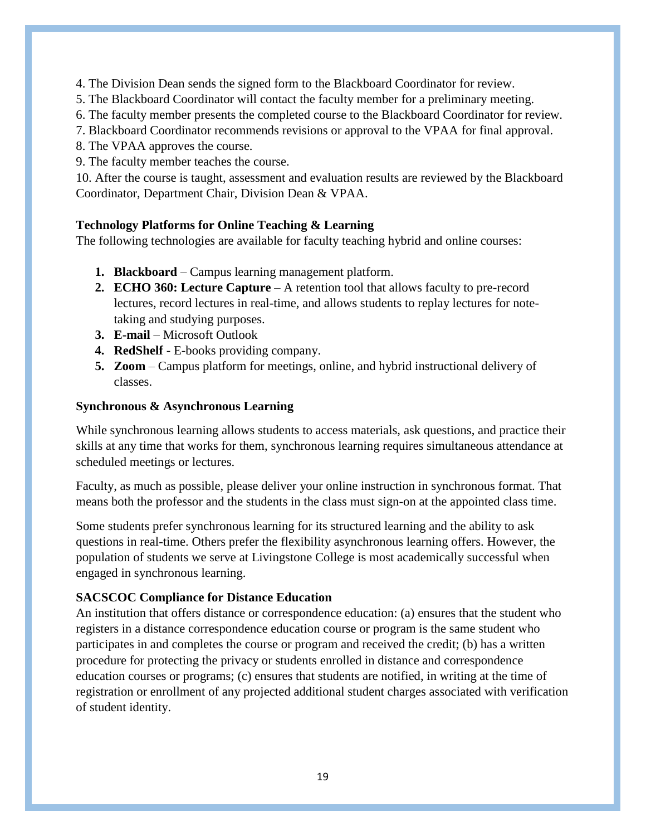4. The Division Dean sends the signed form to the Blackboard Coordinator for review.

- 5. The Blackboard Coordinator will contact the faculty member for a preliminary meeting.
- 6. The faculty member presents the completed course to the Blackboard Coordinator for review.
- 7. Blackboard Coordinator recommends revisions or approval to the VPAA for final approval.
- 8. The VPAA approves the course.
- 9. The faculty member teaches the course.

10. After the course is taught, assessment and evaluation results are reviewed by the Blackboard Coordinator, Department Chair, Division Dean & VPAA.

# **Technology Platforms for Online Teaching & Learning**

The following technologies are available for faculty teaching hybrid and online courses:

- **1. Blackboard** Campus learning management platform.
- **2. ECHO 360: Lecture Capture** A retention tool that allows faculty to pre-record lectures, record lectures in real-time, and allows students to replay lectures for notetaking and studying purposes.
- **3. E-mail** Microsoft Outlook
- **4. RedShelf** E-books providing company.
- **5. Zoom** Campus platform for meetings, online, and hybrid instructional delivery of classes.

# **Synchronous & Asynchronous Learning**

While synchronous learning allows students to access materials, ask questions, and practice their skills at any time that works for them, synchronous learning requires simultaneous attendance at scheduled meetings or lectures.

Faculty, as much as possible, please deliver your online instruction in synchronous format. That means both the professor and the students in the class must sign-on at the appointed class time.

Some students prefer synchronous learning for its structured learning and the ability to ask questions in real-time. Others prefer the flexibility asynchronous learning offers. However, the population of students we serve at Livingstone College is most academically successful when engaged in synchronous learning.

# **SACSCOC Compliance for Distance Education**

An institution that offers distance or correspondence education: (a) ensures that the student who registers in a distance correspondence education course or program is the same student who participates in and completes the course or program and received the credit; (b) has a written procedure for protecting the privacy or students enrolled in distance and correspondence education courses or programs; (c) ensures that students are notified, in writing at the time of registration or enrollment of any projected additional student charges associated with verification of student identity.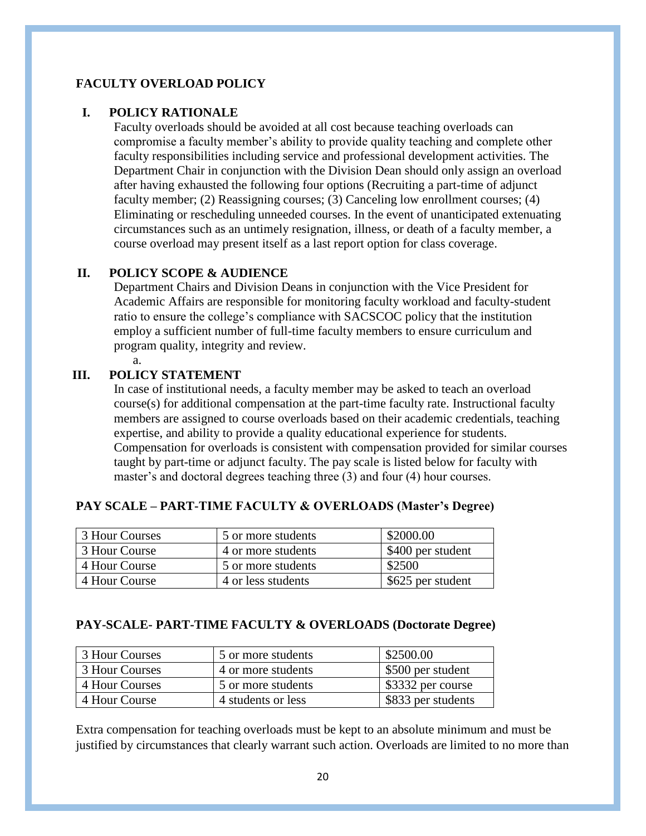# **FACULTY OVERLOAD POLICY**

# **I. POLICY RATIONALE**

Faculty overloads should be avoided at all cost because teaching overloads can compromise a faculty member's ability to provide quality teaching and complete other faculty responsibilities including service and professional development activities. The Department Chair in conjunction with the Division Dean should only assign an overload after having exhausted the following four options (Recruiting a part-time of adjunct faculty member; (2) Reassigning courses; (3) Canceling low enrollment courses; (4) Eliminating or rescheduling unneeded courses. In the event of unanticipated extenuating circumstances such as an untimely resignation, illness, or death of a faculty member, a course overload may present itself as a last report option for class coverage.

### **II. POLICY SCOPE & AUDIENCE**

Department Chairs and Division Deans in conjunction with the Vice President for Academic Affairs are responsible for monitoring faculty workload and faculty-student ratio to ensure the college's compliance with SACSCOC policy that the institution employ a sufficient number of full-time faculty members to ensure curriculum and program quality, integrity and review.

# **III. POLICY STATEMENT**

a.

In case of institutional needs, a faculty member may be asked to teach an overload course(s) for additional compensation at the part-time faculty rate. Instructional faculty members are assigned to course overloads based on their academic credentials, teaching expertise, and ability to provide a quality educational experience for students. Compensation for overloads is consistent with compensation provided for similar courses taught by part-time or adjunct faculty. The pay scale is listed below for faculty with master's and doctoral degrees teaching three (3) and four (4) hour courses.

| 3 Hour Courses | 5 or more students | \$2000.00         |
|----------------|--------------------|-------------------|
| 3 Hour Course  | 4 or more students | \$400 per student |
| 4 Hour Course  | 5 or more students | \$2500            |
| 4 Hour Course  | 4 or less students | \$625 per student |

### **PAY SCALE – PART-TIME FACULTY & OVERLOADS (Master's Degree)**

#### **PAY-SCALE- PART-TIME FACULTY & OVERLOADS (Doctorate Degree)**

| 3 Hour Courses | 5 or more students | \$2500.00          |
|----------------|--------------------|--------------------|
| 3 Hour Courses | 4 or more students | \$500 per student  |
| 4 Hour Courses | 5 or more students | \$3332 per course  |
| 4 Hour Course  | 4 students or less | \$833 per students |

Extra compensation for teaching overloads must be kept to an absolute minimum and must be justified by circumstances that clearly warrant such action. Overloads are limited to no more than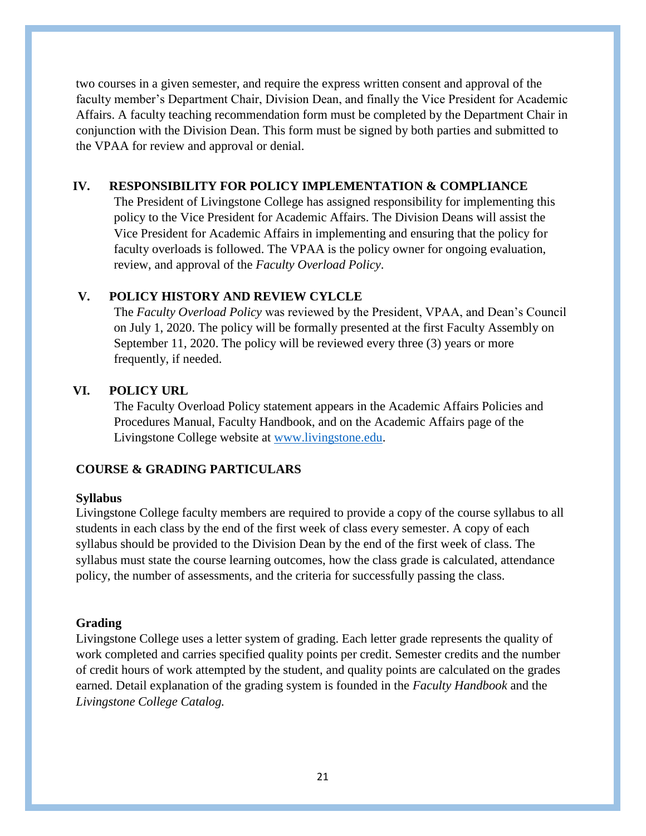two courses in a given semester, and require the express written consent and approval of the faculty member's Department Chair, Division Dean, and finally the Vice President for Academic Affairs. A faculty teaching recommendation form must be completed by the Department Chair in conjunction with the Division Dean. This form must be signed by both parties and submitted to the VPAA for review and approval or denial.

# **IV. RESPONSIBILITY FOR POLICY IMPLEMENTATION & COMPLIANCE**

The President of Livingstone College has assigned responsibility for implementing this policy to the Vice President for Academic Affairs. The Division Deans will assist the Vice President for Academic Affairs in implementing and ensuring that the policy for faculty overloads is followed. The VPAA is the policy owner for ongoing evaluation, review, and approval of the *Faculty Overload Policy*.

# **V. POLICY HISTORY AND REVIEW CYLCLE**

The *Faculty Overload Policy* was reviewed by the President, VPAA, and Dean's Council on July 1, 2020. The policy will be formally presented at the first Faculty Assembly on September 11, 2020. The policy will be reviewed every three (3) years or more frequently, if needed.

# **VI. POLICY URL**

The Faculty Overload Policy statement appears in the Academic Affairs Policies and Procedures Manual, Faculty Handbook, and on the Academic Affairs page of the Livingstone College website at [www.livingstone.edu.](http://www.livingstone.edu/)

# **COURSE & GRADING PARTICULARS**

## **Syllabus**

Livingstone College faculty members are required to provide a copy of the course syllabus to all students in each class by the end of the first week of class every semester. A copy of each syllabus should be provided to the Division Dean by the end of the first week of class. The syllabus must state the course learning outcomes, how the class grade is calculated, attendance policy, the number of assessments, and the criteria for successfully passing the class.

### **Grading**

Livingstone College uses a letter system of grading. Each letter grade represents the quality of work completed and carries specified quality points per credit. Semester credits and the number of credit hours of work attempted by the student, and quality points are calculated on the grades earned. Detail explanation of the grading system is founded in the *Faculty Handbook* and the *Livingstone College Catalog.*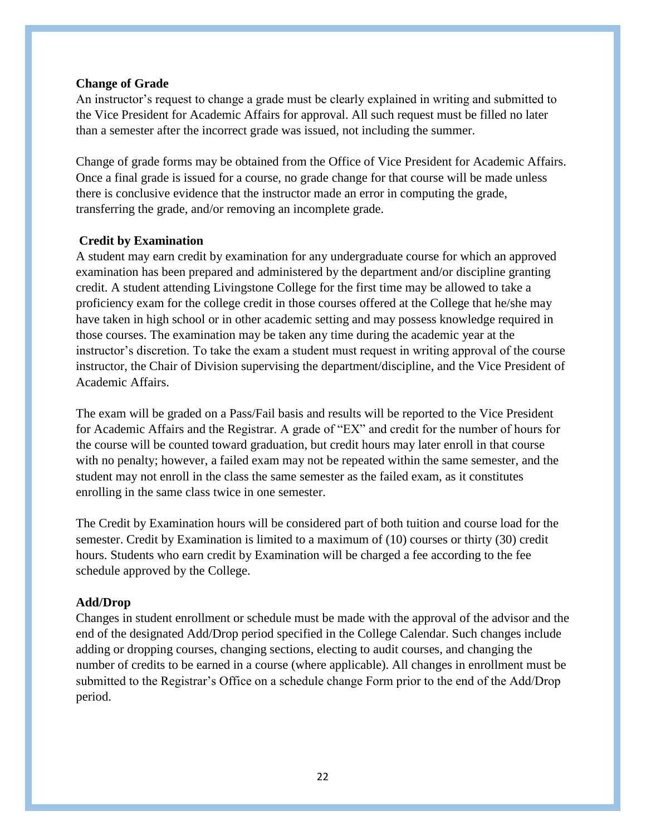#### **Change of Grade**

An instructor's request to change a grade must be clearly explained in writing and submitted to the Vice President for Academic Affairs for approval. All such request must be filled no later than a semester after the incorrect grade was issued, not including the summer.

Change of grade forms may be obtained from the Office of Vice President for Academic Affairs. Once a final grade is issued for a course, no grade change for that course will be made unless there is conclusive evidence that the instructor made an error in computing the grade, transferring the grade, and/or removing an incomplete grade.

### **Credit by Examination**

A student may earn credit by examination for any undergraduate course for which an approved examination has been prepared and administered by the department and/or discipline granting credit. A student attending Livingstone College for the first time may be allowed to take a proficiency exam for the college credit in those courses offered at the College that he/she may have taken in high school or in other academic setting and may possess knowledge required in those courses. The examination may be taken any time during the academic year at the instructor's discretion. To take the exam a student must request in writing approval of the course instructor, the Chair of Division supervising the department/discipline, and the Vice President of Academic Affairs.

The exam will be graded on a Pass/Fail basis and results will be reported to the Vice President for Academic Affairs and the Registrar. A grade of "EX" and credit for the number of hours for the course will be counted toward graduation, but credit hours may later enroll in that course with no penalty; however, a failed exam may not be repeated within the same semester, and the student may not enroll in the class the same semester as the failed exam, as it constitutes enrolling in the same class twice in one semester.

The Credit by Examination hours will be considered part of both tuition and course load for the semester. Credit by Examination is limited to a maximum of (10) courses or thirty (30) credit hours. Students who earn credit by Examination will be charged a fee according to the fee schedule approved by the College.

#### **Add/Drop**

Changes in student enrollment or schedule must be made with the approval of the advisor and the end of the designated Add/Drop period specified in the College Calendar. Such changes include adding or dropping courses, changing sections, electing to audit courses, and changing the number of credits to be earned in a course (where applicable). All changes in enrollment must be submitted to the Registrar's Office on a schedule change Form prior to the end of the Add/Drop period.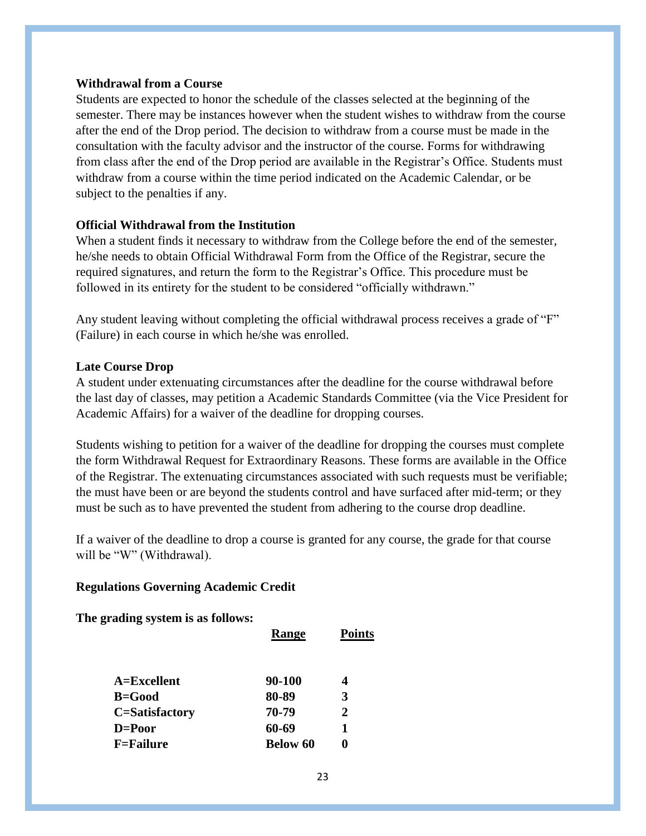#### **Withdrawal from a Course**

Students are expected to honor the schedule of the classes selected at the beginning of the semester. There may be instances however when the student wishes to withdraw from the course after the end of the Drop period. The decision to withdraw from a course must be made in the consultation with the faculty advisor and the instructor of the course. Forms for withdrawing from class after the end of the Drop period are available in the Registrar's Office. Students must withdraw from a course within the time period indicated on the Academic Calendar, or be subject to the penalties if any.

#### **Official Withdrawal from the Institution**

When a student finds it necessary to withdraw from the College before the end of the semester, he/she needs to obtain Official Withdrawal Form from the Office of the Registrar, secure the required signatures, and return the form to the Registrar's Office. This procedure must be followed in its entirety for the student to be considered "officially withdrawn."

Any student leaving without completing the official withdrawal process receives a grade of "F" (Failure) in each course in which he/she was enrolled.

#### **Late Course Drop**

A student under extenuating circumstances after the deadline for the course withdrawal before the last day of classes, may petition a Academic Standards Committee (via the Vice President for Academic Affairs) for a waiver of the deadline for dropping courses.

Students wishing to petition for a waiver of the deadline for dropping the courses must complete the form Withdrawal Request for Extraordinary Reasons. These forms are available in the Office of the Registrar. The extenuating circumstances associated with such requests must be verifiable; the must have been or are beyond the students control and have surfaced after mid-term; or they must be such as to have prevented the student from adhering to the course drop deadline.

If a waiver of the deadline to drop a course is granted for any course, the grade for that course will be "W" (Withdrawal).

### **Regulations Governing Academic Credit**

### **The grading system is as follows:**

|                  | Range           | <b>Points</b> |
|------------------|-----------------|---------------|
| $A=Excellent$    | 90-100          | 4             |
| $B = Good$       | 80-89           | 3             |
| C=Satisfactory   | 70-79           | 2             |
| $D = Poor$       | 60-69           | 1             |
| <b>F=Failure</b> | <b>Below 60</b> | o             |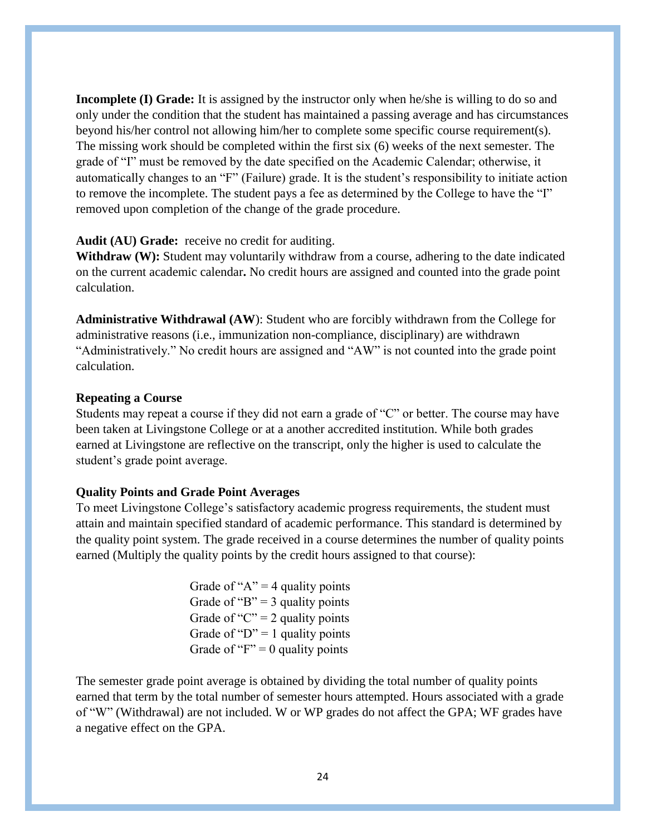**Incomplete (I) Grade:** It is assigned by the instructor only when he/she is willing to do so and only under the condition that the student has maintained a passing average and has circumstances beyond his/her control not allowing him/her to complete some specific course requirement(s). The missing work should be completed within the first six (6) weeks of the next semester. The grade of "I" must be removed by the date specified on the Academic Calendar; otherwise, it automatically changes to an "F" (Failure) grade. It is the student's responsibility to initiate action to remove the incomplete. The student pays a fee as determined by the College to have the "I" removed upon completion of the change of the grade procedure.

#### **Audit (AU) Grade:** receive no credit for auditing.

Withdraw (W): Student may voluntarily withdraw from a course, adhering to the date indicated on the current academic calendar**.** No credit hours are assigned and counted into the grade point calculation.

**Administrative Withdrawal (AW**): Student who are forcibly withdrawn from the College for administrative reasons (i.e., immunization non-compliance, disciplinary) are withdrawn "Administratively." No credit hours are assigned and "AW" is not counted into the grade point calculation.

#### **Repeating a Course**

Students may repeat a course if they did not earn a grade of "C" or better. The course may have been taken at Livingstone College or at a another accredited institution. While both grades earned at Livingstone are reflective on the transcript, only the higher is used to calculate the student's grade point average.

#### **Quality Points and Grade Point Averages**

To meet Livingstone College's satisfactory academic progress requirements, the student must attain and maintain specified standard of academic performance. This standard is determined by the quality point system. The grade received in a course determines the number of quality points earned (Multiply the quality points by the credit hours assigned to that course):

> Grade of " $A$ " = 4 quality points Grade of "B"  $=$  3 quality points Grade of "C" = 2 quality points Grade of " $D$ " = 1 quality points Grade of " $F$ " = 0 quality points"

The semester grade point average is obtained by dividing the total number of quality points earned that term by the total number of semester hours attempted. Hours associated with a grade of "W" (Withdrawal) are not included. W or WP grades do not affect the GPA; WF grades have a negative effect on the GPA.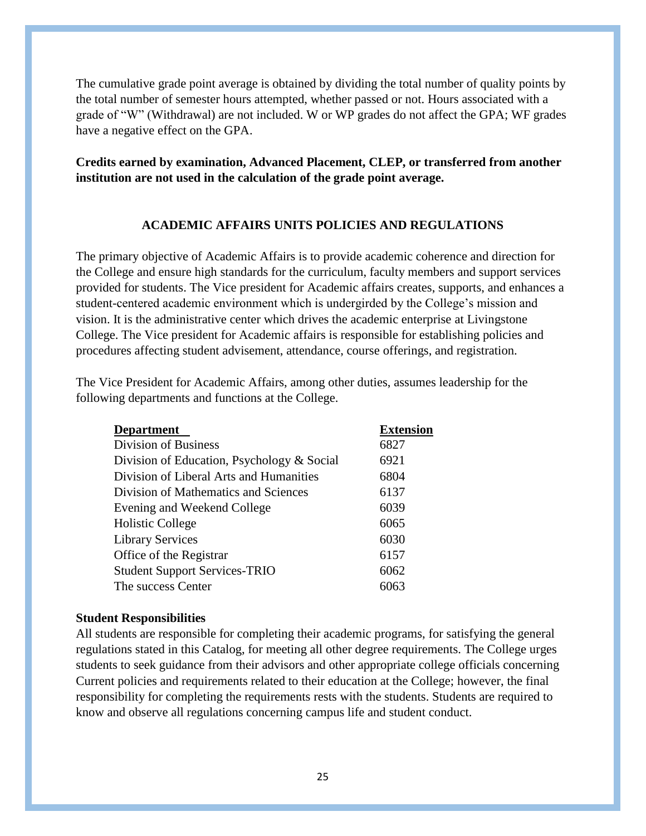The cumulative grade point average is obtained by dividing the total number of quality points by the total number of semester hours attempted, whether passed or not. Hours associated with a grade of "W" (Withdrawal) are not included. W or WP grades do not affect the GPA; WF grades have a negative effect on the GPA.

# **Credits earned by examination, Advanced Placement, CLEP, or transferred from another institution are not used in the calculation of the grade point average.**

#### **ACADEMIC AFFAIRS UNITS POLICIES AND REGULATIONS**

The primary objective of Academic Affairs is to provide academic coherence and direction for the College and ensure high standards for the curriculum, faculty members and support services provided for students. The Vice president for Academic affairs creates, supports, and enhances a student-centered academic environment which is undergirded by the College's mission and vision. It is the administrative center which drives the academic enterprise at Livingstone College. The Vice president for Academic affairs is responsible for establishing policies and procedures affecting student advisement, attendance, course offerings, and registration.

The Vice President for Academic Affairs, among other duties, assumes leadership for the following departments and functions at the College.

| <b>Department</b>                          | <b>Extension</b> |
|--------------------------------------------|------------------|
| Division of Business                       | 6827             |
| Division of Education, Psychology & Social | 6921             |
| Division of Liberal Arts and Humanities    | 6804             |
| Division of Mathematics and Sciences       | 6137             |
| Evening and Weekend College                | 6039             |
| <b>Holistic College</b>                    | 6065             |
| <b>Library Services</b>                    | 6030             |
| Office of the Registrar                    | 6157             |
| <b>Student Support Services-TRIO</b>       | 6062             |
| The success Center                         |                  |

#### **Student Responsibilities**

All students are responsible for completing their academic programs, for satisfying the general regulations stated in this Catalog, for meeting all other degree requirements. The College urges students to seek guidance from their advisors and other appropriate college officials concerning Current policies and requirements related to their education at the College; however, the final responsibility for completing the requirements rests with the students. Students are required to know and observe all regulations concerning campus life and student conduct.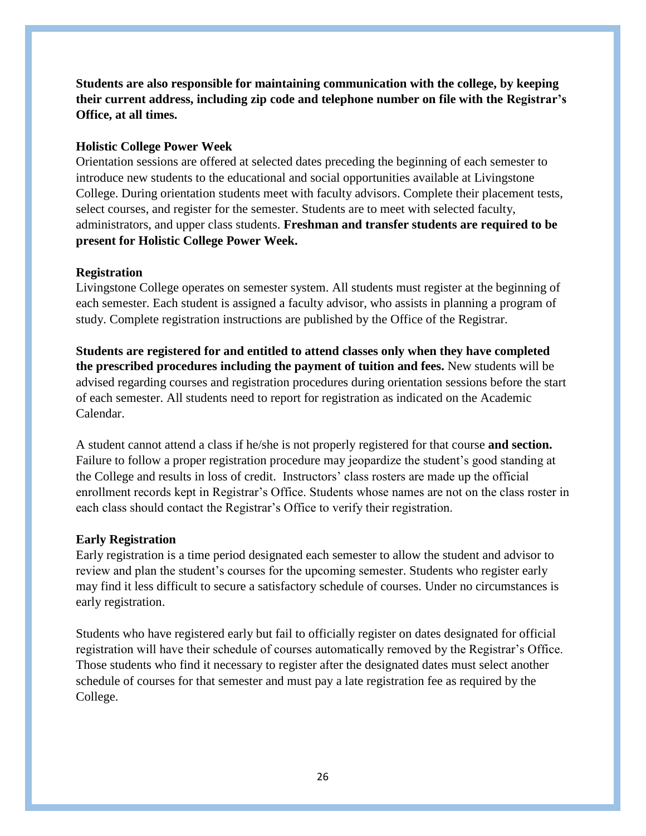**Students are also responsible for maintaining communication with the college, by keeping their current address, including zip code and telephone number on file with the Registrar's Office, at all times.**

#### **Holistic College Power Week**

Orientation sessions are offered at selected dates preceding the beginning of each semester to introduce new students to the educational and social opportunities available at Livingstone College. During orientation students meet with faculty advisors. Complete their placement tests, select courses, and register for the semester. Students are to meet with selected faculty, administrators, and upper class students. **Freshman and transfer students are required to be present for Holistic College Power Week.**

#### **Registration**

Livingstone College operates on semester system. All students must register at the beginning of each semester. Each student is assigned a faculty advisor, who assists in planning a program of study. Complete registration instructions are published by the Office of the Registrar.

**Students are registered for and entitled to attend classes only when they have completed the prescribed procedures including the payment of tuition and fees.** New students will be advised regarding courses and registration procedures during orientation sessions before the start of each semester. All students need to report for registration as indicated on the Academic Calendar.

A student cannot attend a class if he/she is not properly registered for that course **and section.**  Failure to follow a proper registration procedure may jeopardize the student's good standing at the College and results in loss of credit. Instructors' class rosters are made up the official enrollment records kept in Registrar's Office. Students whose names are not on the class roster in each class should contact the Registrar's Office to verify their registration.

#### **Early Registration**

Early registration is a time period designated each semester to allow the student and advisor to review and plan the student's courses for the upcoming semester. Students who register early may find it less difficult to secure a satisfactory schedule of courses. Under no circumstances is early registration.

Students who have registered early but fail to officially register on dates designated for official registration will have their schedule of courses automatically removed by the Registrar's Office. Those students who find it necessary to register after the designated dates must select another schedule of courses for that semester and must pay a late registration fee as required by the College.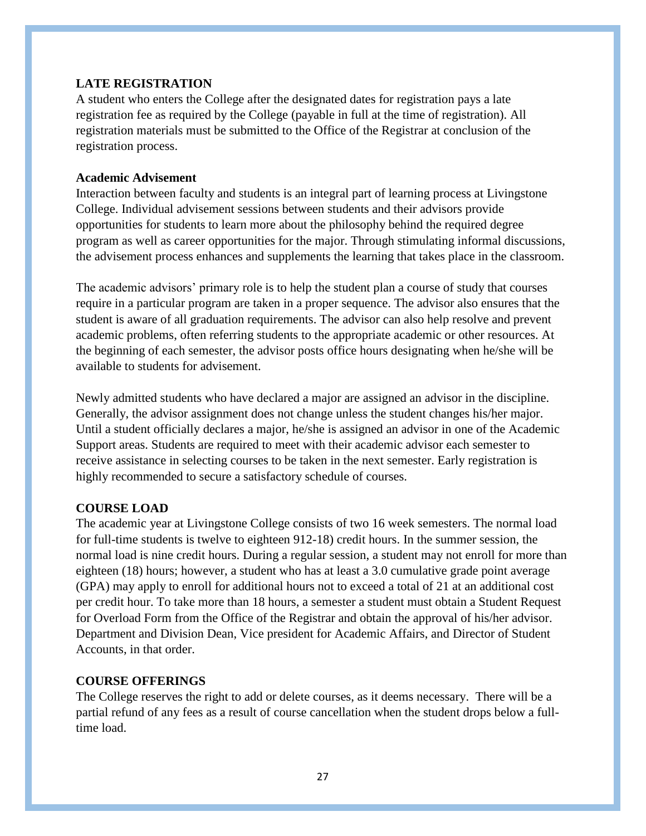## **LATE REGISTRATION**

A student who enters the College after the designated dates for registration pays a late registration fee as required by the College (payable in full at the time of registration). All registration materials must be submitted to the Office of the Registrar at conclusion of the registration process.

#### **Academic Advisement**

Interaction between faculty and students is an integral part of learning process at Livingstone College. Individual advisement sessions between students and their advisors provide opportunities for students to learn more about the philosophy behind the required degree program as well as career opportunities for the major. Through stimulating informal discussions, the advisement process enhances and supplements the learning that takes place in the classroom.

The academic advisors' primary role is to help the student plan a course of study that courses require in a particular program are taken in a proper sequence. The advisor also ensures that the student is aware of all graduation requirements. The advisor can also help resolve and prevent academic problems, often referring students to the appropriate academic or other resources. At the beginning of each semester, the advisor posts office hours designating when he/she will be available to students for advisement.

Newly admitted students who have declared a major are assigned an advisor in the discipline. Generally, the advisor assignment does not change unless the student changes his/her major. Until a student officially declares a major, he/she is assigned an advisor in one of the Academic Support areas. Students are required to meet with their academic advisor each semester to receive assistance in selecting courses to be taken in the next semester. Early registration is highly recommended to secure a satisfactory schedule of courses.

### **COURSE LOAD**

The academic year at Livingstone College consists of two 16 week semesters. The normal load for full-time students is twelve to eighteen 912-18) credit hours. In the summer session, the normal load is nine credit hours. During a regular session, a student may not enroll for more than eighteen (18) hours; however, a student who has at least a 3.0 cumulative grade point average (GPA) may apply to enroll for additional hours not to exceed a total of 21 at an additional cost per credit hour. To take more than 18 hours, a semester a student must obtain a Student Request for Overload Form from the Office of the Registrar and obtain the approval of his/her advisor. Department and Division Dean, Vice president for Academic Affairs, and Director of Student Accounts, in that order.

### **COURSE OFFERINGS**

The College reserves the right to add or delete courses, as it deems necessary. There will be a partial refund of any fees as a result of course cancellation when the student drops below a fulltime load.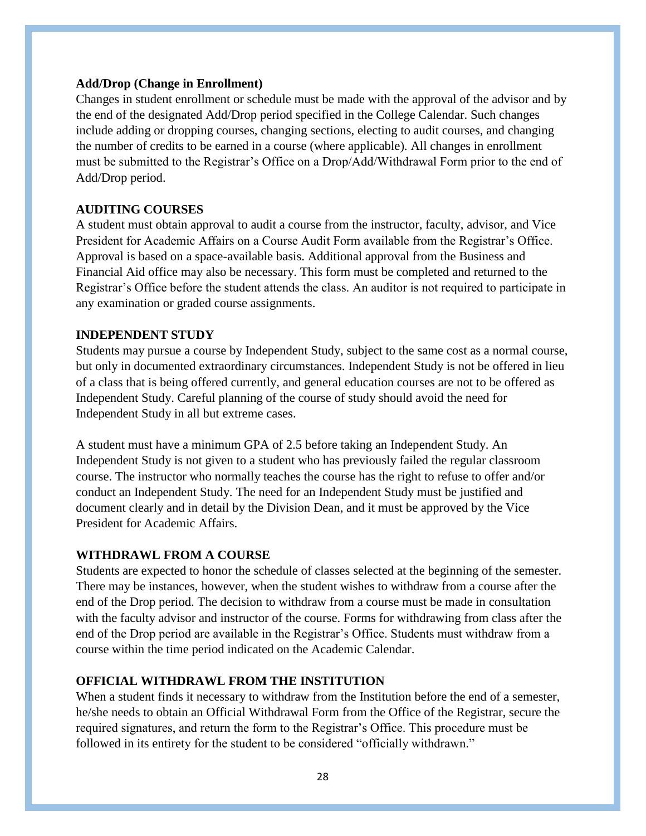#### **Add/Drop (Change in Enrollment)**

Changes in student enrollment or schedule must be made with the approval of the advisor and by the end of the designated Add/Drop period specified in the College Calendar. Such changes include adding or dropping courses, changing sections, electing to audit courses, and changing the number of credits to be earned in a course (where applicable). All changes in enrollment must be submitted to the Registrar's Office on a Drop/Add/Withdrawal Form prior to the end of Add/Drop period.

### **AUDITING COURSES**

A student must obtain approval to audit a course from the instructor, faculty, advisor, and Vice President for Academic Affairs on a Course Audit Form available from the Registrar's Office. Approval is based on a space-available basis. Additional approval from the Business and Financial Aid office may also be necessary. This form must be completed and returned to the Registrar's Office before the student attends the class. An auditor is not required to participate in any examination or graded course assignments.

### **INDEPENDENT STUDY**

Students may pursue a course by Independent Study, subject to the same cost as a normal course, but only in documented extraordinary circumstances. Independent Study is not be offered in lieu of a class that is being offered currently, and general education courses are not to be offered as Independent Study. Careful planning of the course of study should avoid the need for Independent Study in all but extreme cases.

A student must have a minimum GPA of 2.5 before taking an Independent Study. An Independent Study is not given to a student who has previously failed the regular classroom course. The instructor who normally teaches the course has the right to refuse to offer and/or conduct an Independent Study. The need for an Independent Study must be justified and document clearly and in detail by the Division Dean, and it must be approved by the Vice President for Academic Affairs.

### **WITHDRAWL FROM A COURSE**

Students are expected to honor the schedule of classes selected at the beginning of the semester. There may be instances, however, when the student wishes to withdraw from a course after the end of the Drop period. The decision to withdraw from a course must be made in consultation with the faculty advisor and instructor of the course. Forms for withdrawing from class after the end of the Drop period are available in the Registrar's Office. Students must withdraw from a course within the time period indicated on the Academic Calendar.

### **OFFICIAL WITHDRAWL FROM THE INSTITUTION**

When a student finds it necessary to withdraw from the Institution before the end of a semester, he/she needs to obtain an Official Withdrawal Form from the Office of the Registrar, secure the required signatures, and return the form to the Registrar's Office. This procedure must be followed in its entirety for the student to be considered "officially withdrawn."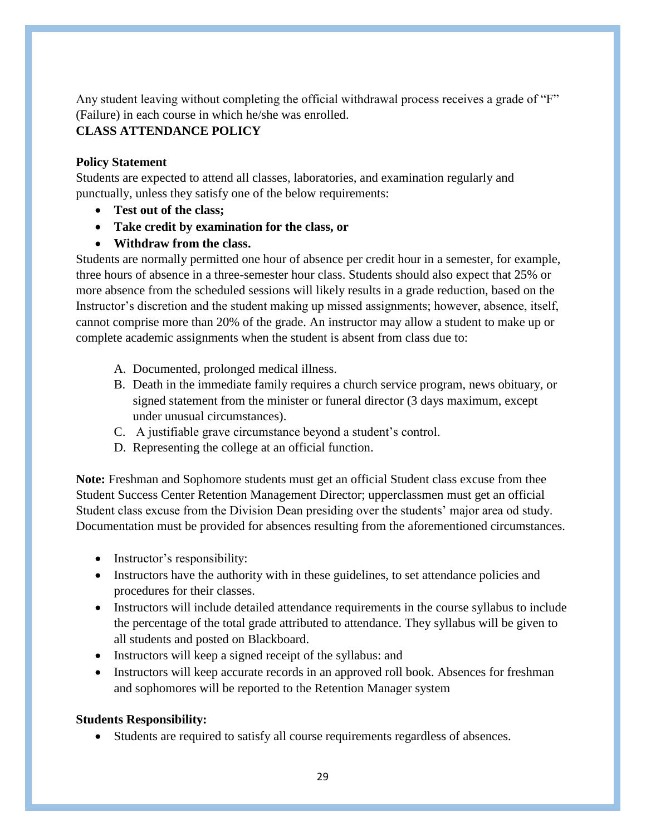Any student leaving without completing the official withdrawal process receives a grade of "F" (Failure) in each course in which he/she was enrolled.

# **CLASS ATTENDANCE POLICY**

# **Policy Statement**

Students are expected to attend all classes, laboratories, and examination regularly and punctually, unless they satisfy one of the below requirements:

- **Test out of the class;**
- **Take credit by examination for the class, or**
- **Withdraw from the class.**

Students are normally permitted one hour of absence per credit hour in a semester, for example, three hours of absence in a three-semester hour class. Students should also expect that 25% or more absence from the scheduled sessions will likely results in a grade reduction, based on the Instructor's discretion and the student making up missed assignments; however, absence, itself, cannot comprise more than 20% of the grade. An instructor may allow a student to make up or complete academic assignments when the student is absent from class due to:

- A. Documented, prolonged medical illness.
- B. Death in the immediate family requires a church service program, news obituary, or signed statement from the minister or funeral director (3 days maximum, except under unusual circumstances).
- C. A justifiable grave circumstance beyond a student's control.
- D. Representing the college at an official function.

**Note:** Freshman and Sophomore students must get an official Student class excuse from thee Student Success Center Retention Management Director; upperclassmen must get an official Student class excuse from the Division Dean presiding over the students' major area od study. Documentation must be provided for absences resulting from the aforementioned circumstances.

- Instructor's responsibility:
- Instructors have the authority with in these guidelines, to set attendance policies and procedures for their classes.
- Instructors will include detailed attendance requirements in the course syllabus to include the percentage of the total grade attributed to attendance. They syllabus will be given to all students and posted on Blackboard.
- Instructors will keep a signed receipt of the syllabus: and
- Instructors will keep accurate records in an approved roll book. Absences for freshman and sophomores will be reported to the Retention Manager system

# **Students Responsibility:**

Students are required to satisfy all course requirements regardless of absences.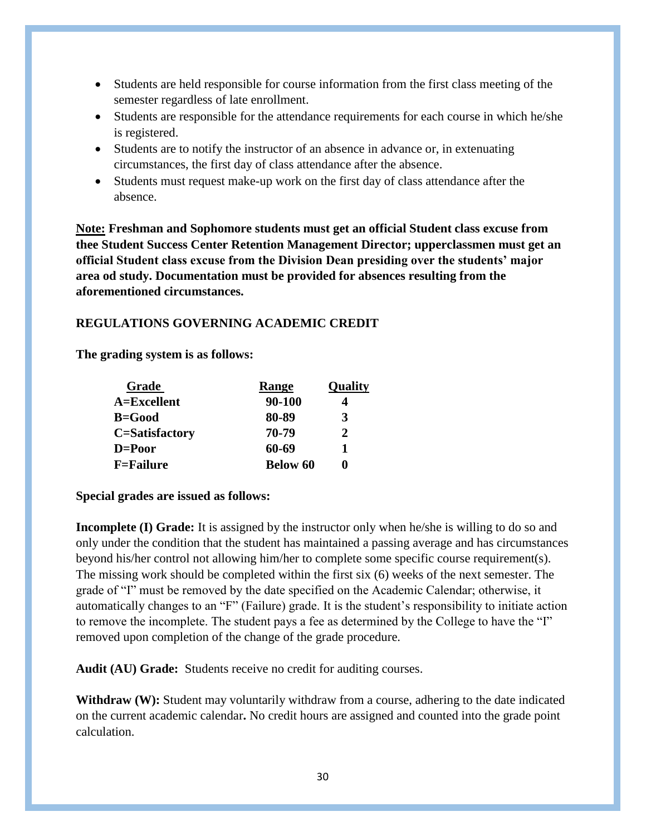- Students are held responsible for course information from the first class meeting of the semester regardless of late enrollment.
- Students are responsible for the attendance requirements for each course in which he/she is registered.
- Students are to notify the instructor of an absence in advance or, in extenuating circumstances, the first day of class attendance after the absence.
- Students must request make-up work on the first day of class attendance after the absence.

**Note: Freshman and Sophomore students must get an official Student class excuse from thee Student Success Center Retention Management Director; upperclassmen must get an official Student class excuse from the Division Dean presiding over the students' major area od study. Documentation must be provided for absences resulting from the aforementioned circumstances.**

# **REGULATIONS GOVERNING ACADEMIC CREDIT**

**The grading system is as follows:**

| Grade             | Range           | Quality |
|-------------------|-----------------|---------|
| A=Excellent       | 90-100          |         |
| <b>B=Good</b>     | 80-89           | 3       |
| C=Satisfactory    | 70-79           | 2       |
| D=Poor            | 60-69           |         |
| <b>F</b> =Failure | <b>Below 60</b> |         |

# **Special grades are issued as follows:**

**Incomplete (I) Grade:** It is assigned by the instructor only when he/she is willing to do so and only under the condition that the student has maintained a passing average and has circumstances beyond his/her control not allowing him/her to complete some specific course requirement(s). The missing work should be completed within the first six (6) weeks of the next semester. The grade of "I" must be removed by the date specified on the Academic Calendar; otherwise, it automatically changes to an "F" (Failure) grade. It is the student's responsibility to initiate action to remove the incomplete. The student pays a fee as determined by the College to have the "I" removed upon completion of the change of the grade procedure.

**Audit (AU) Grade:** Students receive no credit for auditing courses.

Withdraw (W): Student may voluntarily withdraw from a course, adhering to the date indicated on the current academic calendar**.** No credit hours are assigned and counted into the grade point calculation.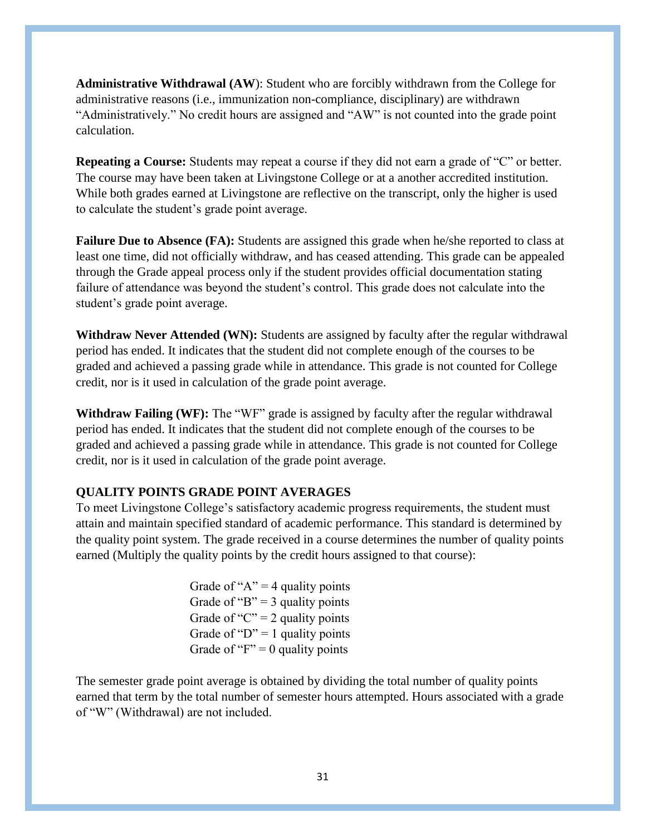**Administrative Withdrawal (AW**): Student who are forcibly withdrawn from the College for administrative reasons (i.e., immunization non-compliance, disciplinary) are withdrawn "Administratively." No credit hours are assigned and "AW" is not counted into the grade point calculation.

**Repeating a Course:** Students may repeat a course if they did not earn a grade of "C" or better. The course may have been taken at Livingstone College or at a another accredited institution. While both grades earned at Livingstone are reflective on the transcript, only the higher is used to calculate the student's grade point average.

**Failure Due to Absence (FA):** Students are assigned this grade when he/she reported to class at least one time, did not officially withdraw, and has ceased attending. This grade can be appealed through the Grade appeal process only if the student provides official documentation stating failure of attendance was beyond the student's control. This grade does not calculate into the student's grade point average.

**Withdraw Never Attended (WN):** Students are assigned by faculty after the regular withdrawal period has ended. It indicates that the student did not complete enough of the courses to be graded and achieved a passing grade while in attendance. This grade is not counted for College credit, nor is it used in calculation of the grade point average.

**Withdraw Failing (WF):** The "WF" grade is assigned by faculty after the regular withdrawal period has ended. It indicates that the student did not complete enough of the courses to be graded and achieved a passing grade while in attendance. This grade is not counted for College credit, nor is it used in calculation of the grade point average.

### **QUALITY POINTS GRADE POINT AVERAGES**

To meet Livingstone College's satisfactory academic progress requirements, the student must attain and maintain specified standard of academic performance. This standard is determined by the quality point system. The grade received in a course determines the number of quality points earned (Multiply the quality points by the credit hours assigned to that course):

> Grade of " $A$ " = 4 quality points Grade of "B"  $=$  3 quality points Grade of " $C$ " = 2 quality points Grade of " $D$ " = 1 quality points Grade of " $F$ " = 0 quality points"

The semester grade point average is obtained by dividing the total number of quality points earned that term by the total number of semester hours attempted. Hours associated with a grade of "W" (Withdrawal) are not included.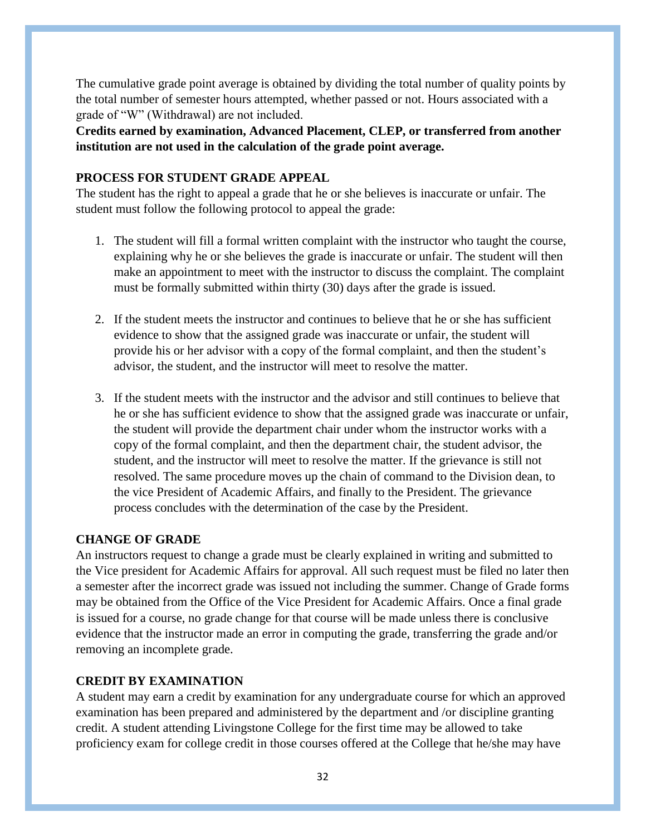The cumulative grade point average is obtained by dividing the total number of quality points by the total number of semester hours attempted, whether passed or not. Hours associated with a grade of "W" (Withdrawal) are not included.

**Credits earned by examination, Advanced Placement, CLEP, or transferred from another institution are not used in the calculation of the grade point average.**

## **PROCESS FOR STUDENT GRADE APPEAL**

The student has the right to appeal a grade that he or she believes is inaccurate or unfair. The student must follow the following protocol to appeal the grade:

- 1. The student will fill a formal written complaint with the instructor who taught the course, explaining why he or she believes the grade is inaccurate or unfair. The student will then make an appointment to meet with the instructor to discuss the complaint. The complaint must be formally submitted within thirty (30) days after the grade is issued.
- 2. If the student meets the instructor and continues to believe that he or she has sufficient evidence to show that the assigned grade was inaccurate or unfair, the student will provide his or her advisor with a copy of the formal complaint, and then the student's advisor, the student, and the instructor will meet to resolve the matter.
- 3. If the student meets with the instructor and the advisor and still continues to believe that he or she has sufficient evidence to show that the assigned grade was inaccurate or unfair, the student will provide the department chair under whom the instructor works with a copy of the formal complaint, and then the department chair, the student advisor, the student, and the instructor will meet to resolve the matter. If the grievance is still not resolved. The same procedure moves up the chain of command to the Division dean, to the vice President of Academic Affairs, and finally to the President. The grievance process concludes with the determination of the case by the President.

# **CHANGE OF GRADE**

An instructors request to change a grade must be clearly explained in writing and submitted to the Vice president for Academic Affairs for approval. All such request must be filed no later then a semester after the incorrect grade was issued not including the summer. Change of Grade forms may be obtained from the Office of the Vice President for Academic Affairs. Once a final grade is issued for a course, no grade change for that course will be made unless there is conclusive evidence that the instructor made an error in computing the grade, transferring the grade and/or removing an incomplete grade.

#### **CREDIT BY EXAMINATION**

A student may earn a credit by examination for any undergraduate course for which an approved examination has been prepared and administered by the department and /or discipline granting credit. A student attending Livingstone College for the first time may be allowed to take proficiency exam for college credit in those courses offered at the College that he/she may have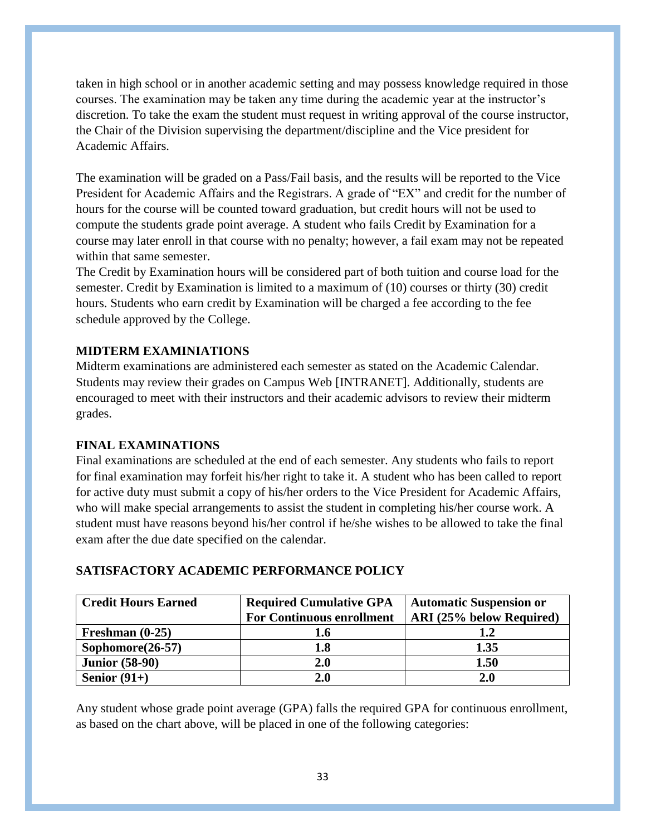taken in high school or in another academic setting and may possess knowledge required in those courses. The examination may be taken any time during the academic year at the instructor's discretion. To take the exam the student must request in writing approval of the course instructor, the Chair of the Division supervising the department/discipline and the Vice president for Academic Affairs.

The examination will be graded on a Pass/Fail basis, and the results will be reported to the Vice President for Academic Affairs and the Registrars. A grade of "EX" and credit for the number of hours for the course will be counted toward graduation, but credit hours will not be used to compute the students grade point average. A student who fails Credit by Examination for a course may later enroll in that course with no penalty; however, a fail exam may not be repeated within that same semester.

The Credit by Examination hours will be considered part of both tuition and course load for the semester. Credit by Examination is limited to a maximum of (10) courses or thirty (30) credit hours. Students who earn credit by Examination will be charged a fee according to the fee schedule approved by the College.

# **MIDTERM EXAMINIATIONS**

Midterm examinations are administered each semester as stated on the Academic Calendar. Students may review their grades on Campus Web [INTRANET]. Additionally, students are encouraged to meet with their instructors and their academic advisors to review their midterm grades.

### **FINAL EXAMINATIONS**

Final examinations are scheduled at the end of each semester. Any students who fails to report for final examination may forfeit his/her right to take it. A student who has been called to report for active duty must submit a copy of his/her orders to the Vice President for Academic Affairs, who will make special arrangements to assist the student in completing his/her course work. A student must have reasons beyond his/her control if he/she wishes to be allowed to take the final exam after the due date specified on the calendar.

| <b>Credit Hours Earned</b> | <b>Required Cumulative GPA</b>   | <b>Automatic Suspension or</b> |
|----------------------------|----------------------------------|--------------------------------|
|                            | <b>For Continuous enrollment</b> | ARI (25% below Required)       |
| Freshman $(0-25)$          | l.6                              | 1.2                            |
| Sophomore $(26-57)$        | 1.8                              | 1.35                           |
| <b>Junior (58-90)</b>      | 2.0                              | 1.50                           |
| Senior $(91+)$             | 2.0                              | 2.0                            |

### **SATISFACTORY ACADEMIC PERFORMANCE POLICY**

Any student whose grade point average (GPA) falls the required GPA for continuous enrollment, as based on the chart above, will be placed in one of the following categories: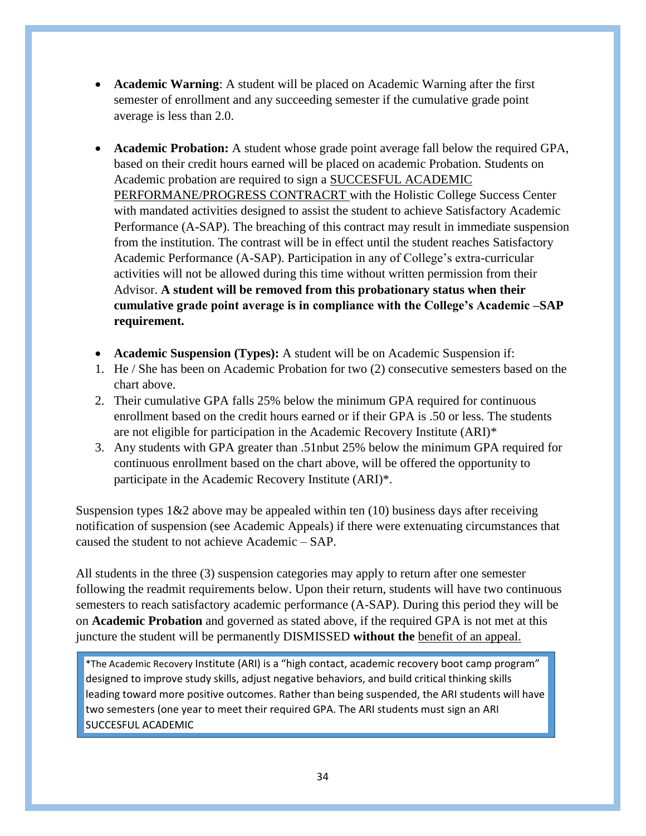- **Academic Warning**: A student will be placed on Academic Warning after the first semester of enrollment and any succeeding semester if the cumulative grade point average is less than 2.0.
- **Academic Probation:** A student whose grade point average fall below the required GPA, based on their credit hours earned will be placed on academic Probation. Students on Academic probation are required to sign a SUCCESFUL ACADEMIC PERFORMANE/PROGRESS CONTRACRT with the Holistic College Success Center with mandated activities designed to assist the student to achieve Satisfactory Academic Performance (A-SAP). The breaching of this contract may result in immediate suspension from the institution. The contrast will be in effect until the student reaches Satisfactory Academic Performance (A-SAP). Participation in any of College's extra-curricular activities will not be allowed during this time without written permission from their Advisor. **A student will be removed from this probationary status when their cumulative grade point average is in compliance with the College's Academic –SAP requirement.**
- **Academic Suspension (Types):** A student will be on Academic Suspension if:
- 1. He / She has been on Academic Probation for two (2) consecutive semesters based on the chart above.
- 2. Their cumulative GPA falls 25% below the minimum GPA required for continuous enrollment based on the credit hours earned or if their GPA is .50 or less. The students are not eligible for participation in the Academic Recovery Institute (ARI)\*
- 3. Any students with GPA greater than .51nbut 25% below the minimum GPA required for continuous enrollment based on the chart above, will be offered the opportunity to participate in the Academic Recovery Institute (ARI)\*.

Suspension types  $1&2$  above may be appealed within ten (10) business days after receiving notification of suspension (see Academic Appeals) if there were extenuating circumstances that caused the student to not achieve Academic – SAP.

All students in the three (3) suspension categories may apply to return after one semester following the readmit requirements below. Upon their return, students will have two continuous semesters to reach satisfactory academic performance (A-SAP). During this period they will be on **Academic Probation** and governed as stated above, if the required GPA is not met at this juncture the student will be permanently DISMISSED **without the** benefit of an appeal.

\*The Academic Recovery Institute (ARI) is a "high contact, academic recovery boot camp program" designed to improve study skills, adjust negative behaviors, and build critical thinking skills leading toward more positive outcomes. Rather than being suspended, the ARI students will have two semesters (one year to meet their required GPA. The ARI students must sign an ARI SUCCESFUL ACADEMIC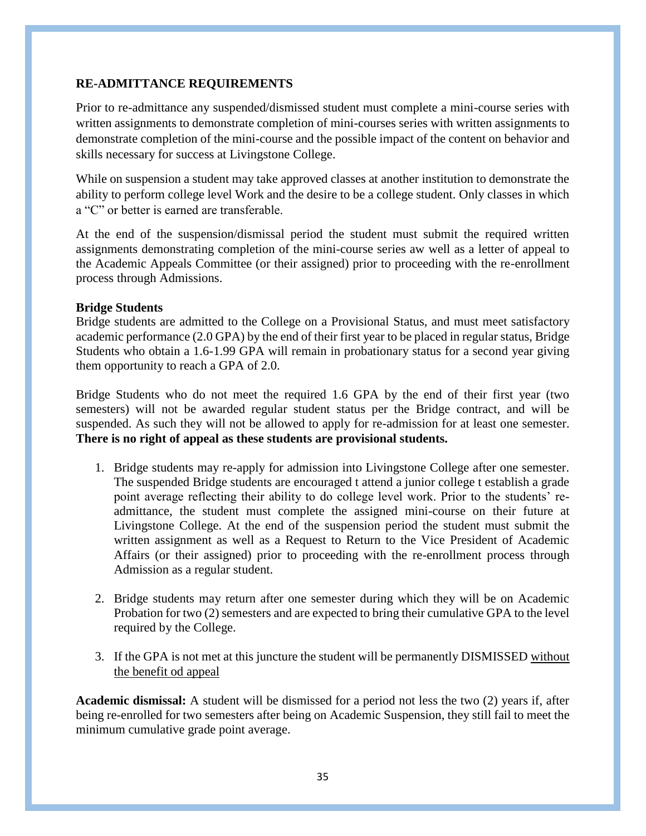# **RE-ADMITTANCE REQUIREMENTS**

Prior to re-admittance any suspended/dismissed student must complete a mini-course series with written assignments to demonstrate completion of mini-courses series with written assignments to demonstrate completion of the mini-course and the possible impact of the content on behavior and skills necessary for success at Livingstone College.

While on suspension a student may take approved classes at another institution to demonstrate the ability to perform college level Work and the desire to be a college student. Only classes in which a "C" or better is earned are transferable.

At the end of the suspension/dismissal period the student must submit the required written assignments demonstrating completion of the mini-course series aw well as a letter of appeal to the Academic Appeals Committee (or their assigned) prior to proceeding with the re-enrollment process through Admissions.

### **Bridge Students**

Bridge students are admitted to the College on a Provisional Status, and must meet satisfactory academic performance (2.0 GPA) by the end of their first year to be placed in regular status, Bridge Students who obtain a 1.6-1.99 GPA will remain in probationary status for a second year giving them opportunity to reach a GPA of 2.0.

Bridge Students who do not meet the required 1.6 GPA by the end of their first year (two semesters) will not be awarded regular student status per the Bridge contract, and will be suspended. As such they will not be allowed to apply for re-admission for at least one semester. **There is no right of appeal as these students are provisional students.** 

- 1. Bridge students may re-apply for admission into Livingstone College after one semester. The suspended Bridge students are encouraged t attend a junior college t establish a grade point average reflecting their ability to do college level work. Prior to the students' readmittance, the student must complete the assigned mini-course on their future at Livingstone College. At the end of the suspension period the student must submit the written assignment as well as a Request to Return to the Vice President of Academic Affairs (or their assigned) prior to proceeding with the re-enrollment process through Admission as a regular student.
- 2. Bridge students may return after one semester during which they will be on Academic Probation for two (2) semesters and are expected to bring their cumulative GPA to the level required by the College.
- 3. If the GPA is not met at this juncture the student will be permanently DISMISSED without the benefit od appeal

**Academic dismissal:** A student will be dismissed for a period not less the two (2) years if, after being re-enrolled for two semesters after being on Academic Suspension, they still fail to meet the minimum cumulative grade point average.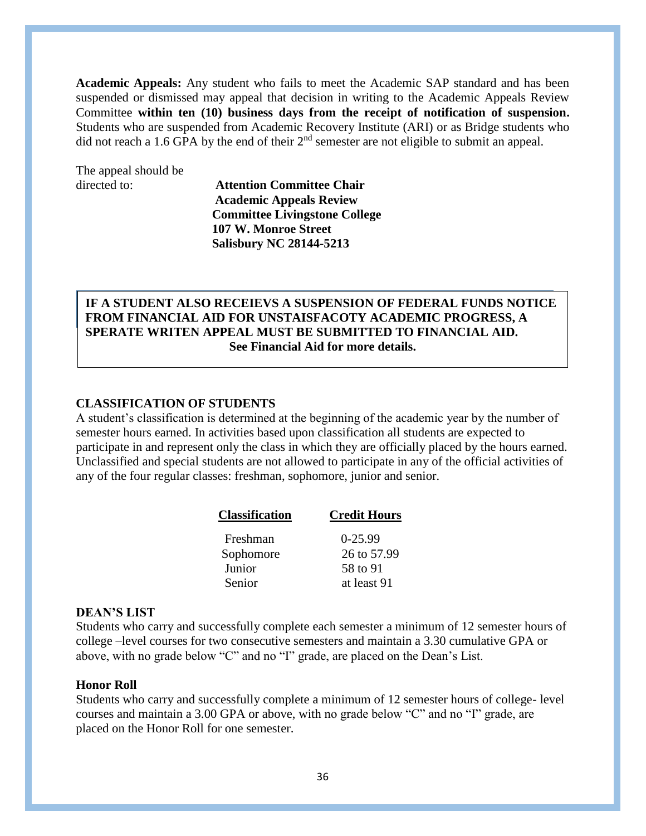**Academic Appeals:** Any student who fails to meet the Academic SAP standard and has been suspended or dismissed may appeal that decision in writing to the Academic Appeals Review Committee **within ten (10) business days from the receipt of notification of suspension.**  Students who are suspended from Academic Recovery Institute (ARI) or as Bridge students who did not reach a 1.6 GPA by the end of their  $2<sup>nd</sup>$  semester are not eligible to submit an appeal.

The appeal should be

directed to: **Attention Committee Chair Academic Appeals Review Committee Livingstone College 107 W. Monroe Street Salisbury NC 28144-5213**

# **IF A STUDENT ALSO RECEIEVS A SUSPENSION OF FEDERAL FUNDS NOTICE FROM FINANCIAL AID FOR UNSTAISFACOTY ACADEMIC PROGRESS, A SPERATE WRITEN APPEAL MUST BE SUBMITTED TO FINANCIAL AID. See Financial Aid for more details.**

#### **CLASSIFICATION OF STUDENTS**

A student's classification is determined at the beginning of the academic year by the number of semester hours earned. In activities based upon classification all students are expected to participate in and represent only the class in which they are officially placed by the hours earned. Unclassified and special students are not allowed to participate in any of the official activities of any of the four regular classes: freshman, sophomore, junior and senior.

| <b>Classification</b> | <b>Credit Hours</b> |
|-----------------------|---------------------|
| Freshman              | $0-25.99$           |
| Sophomore             | 26 to 57.99         |
| Junior                | 58 to 91            |
| Senior                | at least 91         |

#### **DEAN'S LIST**

Students who carry and successfully complete each semester a minimum of 12 semester hours of college –level courses for two consecutive semesters and maintain a 3.30 cumulative GPA or above, with no grade below "C" and no "I" grade, are placed on the Dean's List.

#### **Honor Roll**

Students who carry and successfully complete a minimum of 12 semester hours of college- level courses and maintain a 3.00 GPA or above, with no grade below "C" and no "I" grade, are placed on the Honor Roll for one semester.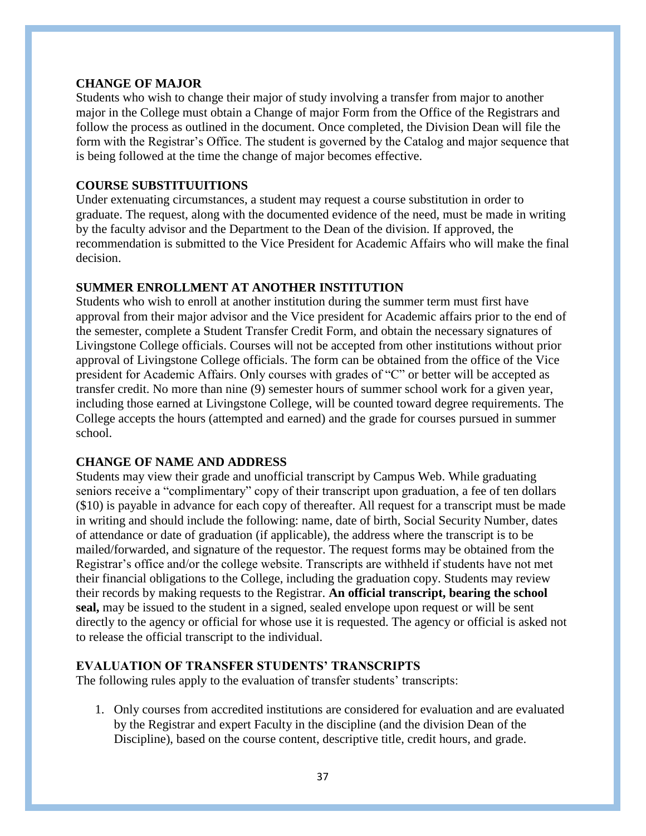#### **CHANGE OF MAJOR**

Students who wish to change their major of study involving a transfer from major to another major in the College must obtain a Change of major Form from the Office of the Registrars and follow the process as outlined in the document. Once completed, the Division Dean will file the form with the Registrar's Office. The student is governed by the Catalog and major sequence that is being followed at the time the change of major becomes effective.

#### **COURSE SUBSTITUUITIONS**

Under extenuating circumstances, a student may request a course substitution in order to graduate. The request, along with the documented evidence of the need, must be made in writing by the faculty advisor and the Department to the Dean of the division. If approved, the recommendation is submitted to the Vice President for Academic Affairs who will make the final decision.

#### **SUMMER ENROLLMENT AT ANOTHER INSTITUTION**

Students who wish to enroll at another institution during the summer term must first have approval from their major advisor and the Vice president for Academic affairs prior to the end of the semester, complete a Student Transfer Credit Form, and obtain the necessary signatures of Livingstone College officials. Courses will not be accepted from other institutions without prior approval of Livingstone College officials. The form can be obtained from the office of the Vice president for Academic Affairs. Only courses with grades of "C" or better will be accepted as transfer credit. No more than nine (9) semester hours of summer school work for a given year, including those earned at Livingstone College, will be counted toward degree requirements. The College accepts the hours (attempted and earned) and the grade for courses pursued in summer school.

#### **CHANGE OF NAME AND ADDRESS**

Students may view their grade and unofficial transcript by Campus Web. While graduating seniors receive a "complimentary" copy of their transcript upon graduation, a fee of ten dollars (\$10) is payable in advance for each copy of thereafter. All request for a transcript must be made in writing and should include the following: name, date of birth, Social Security Number, dates of attendance or date of graduation (if applicable), the address where the transcript is to be mailed/forwarded, and signature of the requestor. The request forms may be obtained from the Registrar's office and/or the college website. Transcripts are withheld if students have not met their financial obligations to the College, including the graduation copy. Students may review their records by making requests to the Registrar. **An official transcript, bearing the school seal,** may be issued to the student in a signed, sealed envelope upon request or will be sent directly to the agency or official for whose use it is requested. The agency or official is asked not to release the official transcript to the individual.

#### **EVALUATION OF TRANSFER STUDENTS' TRANSCRIPTS**

The following rules apply to the evaluation of transfer students' transcripts:

1. Only courses from accredited institutions are considered for evaluation and are evaluated by the Registrar and expert Faculty in the discipline (and the division Dean of the Discipline), based on the course content, descriptive title, credit hours, and grade.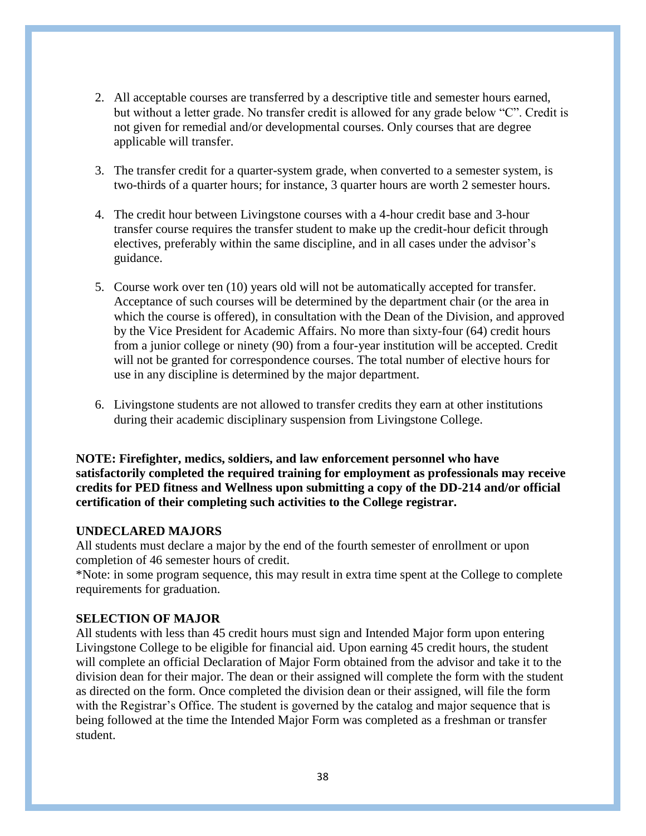- 2. All acceptable courses are transferred by a descriptive title and semester hours earned, but without a letter grade. No transfer credit is allowed for any grade below "C". Credit is not given for remedial and/or developmental courses. Only courses that are degree applicable will transfer.
- 3. The transfer credit for a quarter-system grade, when converted to a semester system, is two-thirds of a quarter hours; for instance, 3 quarter hours are worth 2 semester hours.
- 4. The credit hour between Livingstone courses with a 4-hour credit base and 3-hour transfer course requires the transfer student to make up the credit-hour deficit through electives, preferably within the same discipline, and in all cases under the advisor's guidance.
- 5. Course work over ten (10) years old will not be automatically accepted for transfer. Acceptance of such courses will be determined by the department chair (or the area in which the course is offered), in consultation with the Dean of the Division, and approved by the Vice President for Academic Affairs. No more than sixty-four (64) credit hours from a junior college or ninety (90) from a four-year institution will be accepted. Credit will not be granted for correspondence courses. The total number of elective hours for use in any discipline is determined by the major department.
- 6. Livingstone students are not allowed to transfer credits they earn at other institutions during their academic disciplinary suspension from Livingstone College.

**NOTE: Firefighter, medics, soldiers, and law enforcement personnel who have satisfactorily completed the required training for employment as professionals may receive credits for PED fitness and Wellness upon submitting a copy of the DD-214 and/or official certification of their completing such activities to the College registrar.** 

### **UNDECLARED MAJORS**

All students must declare a major by the end of the fourth semester of enrollment or upon completion of 46 semester hours of credit.

\*Note: in some program sequence, this may result in extra time spent at the College to complete requirements for graduation.

#### **SELECTION OF MAJOR**

All students with less than 45 credit hours must sign and Intended Major form upon entering Livingstone College to be eligible for financial aid. Upon earning 45 credit hours, the student will complete an official Declaration of Major Form obtained from the advisor and take it to the division dean for their major. The dean or their assigned will complete the form with the student as directed on the form. Once completed the division dean or their assigned, will file the form with the Registrar's Office. The student is governed by the catalog and major sequence that is being followed at the time the Intended Major Form was completed as a freshman or transfer student.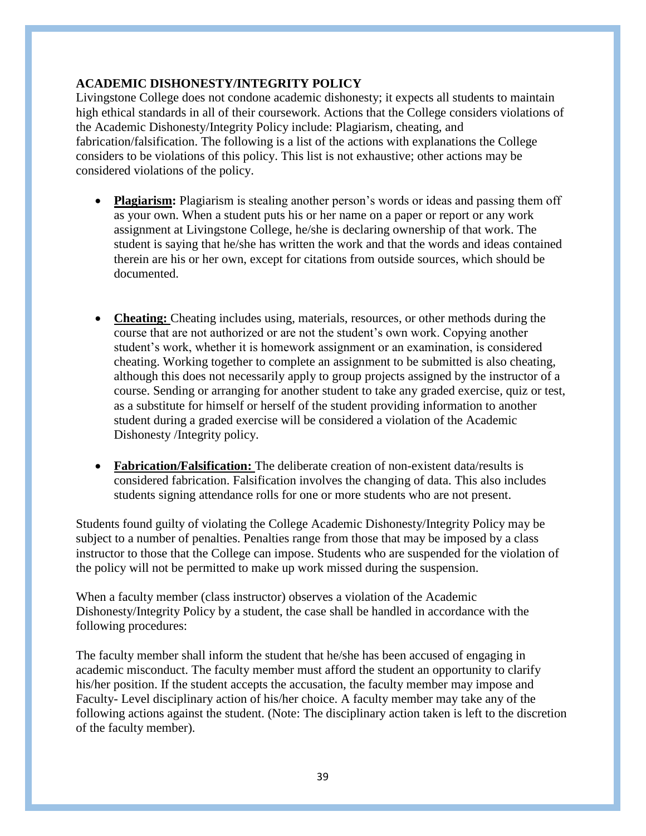# **ACADEMIC DISHONESTY/INTEGRITY POLICY**

Livingstone College does not condone academic dishonesty; it expects all students to maintain high ethical standards in all of their coursework. Actions that the College considers violations of the Academic Dishonesty/Integrity Policy include: Plagiarism, cheating, and fabrication/falsification. The following is a list of the actions with explanations the College considers to be violations of this policy. This list is not exhaustive; other actions may be considered violations of the policy.

- **Plagiarism:** Plagiarism is stealing another person's words or ideas and passing them off as your own. When a student puts his or her name on a paper or report or any work assignment at Livingstone College, he/she is declaring ownership of that work. The student is saying that he/she has written the work and that the words and ideas contained therein are his or her own, except for citations from outside sources, which should be documented.
- **Cheating:** Cheating includes using, materials, resources, or other methods during the course that are not authorized or are not the student's own work. Copying another student's work, whether it is homework assignment or an examination, is considered cheating. Working together to complete an assignment to be submitted is also cheating, although this does not necessarily apply to group projects assigned by the instructor of a course. Sending or arranging for another student to take any graded exercise, quiz or test, as a substitute for himself or herself of the student providing information to another student during a graded exercise will be considered a violation of the Academic Dishonesty /Integrity policy.
- **Fabrication/Falsification:** The deliberate creation of non-existent data/results is considered fabrication. Falsification involves the changing of data. This also includes students signing attendance rolls for one or more students who are not present.

Students found guilty of violating the College Academic Dishonesty/Integrity Policy may be subject to a number of penalties. Penalties range from those that may be imposed by a class instructor to those that the College can impose. Students who are suspended for the violation of the policy will not be permitted to make up work missed during the suspension.

When a faculty member (class instructor) observes a violation of the Academic Dishonesty/Integrity Policy by a student, the case shall be handled in accordance with the following procedures:

The faculty member shall inform the student that he/she has been accused of engaging in academic misconduct. The faculty member must afford the student an opportunity to clarify his/her position. If the student accepts the accusation, the faculty member may impose and Faculty- Level disciplinary action of his/her choice. A faculty member may take any of the following actions against the student. (Note: The disciplinary action taken is left to the discretion of the faculty member).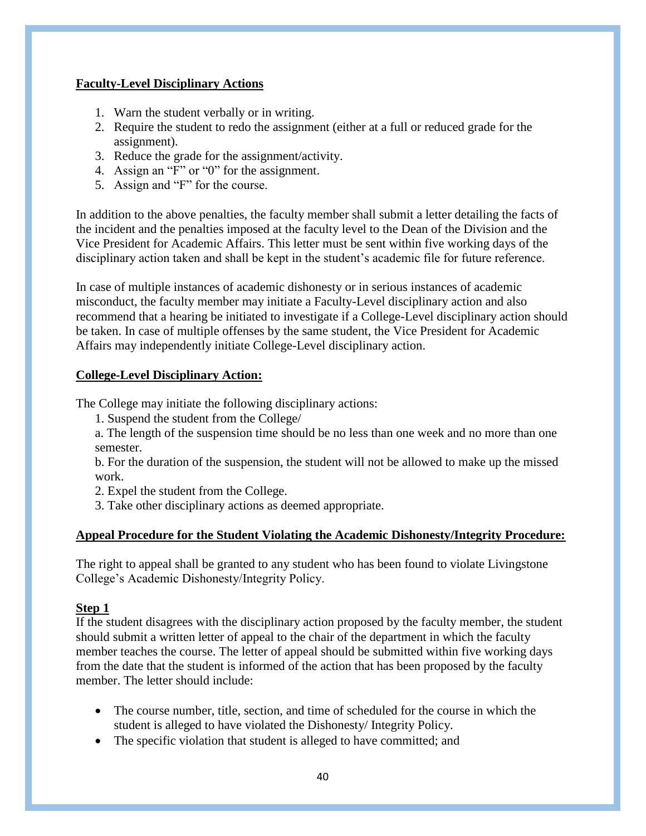# **Faculty-Level Disciplinary Actions**

- 1. Warn the student verbally or in writing.
- 2. Require the student to redo the assignment (either at a full or reduced grade for the assignment).
- 3. Reduce the grade for the assignment/activity.
- 4. Assign an "F" or "0" for the assignment.
- 5. Assign and "F" for the course.

In addition to the above penalties, the faculty member shall submit a letter detailing the facts of the incident and the penalties imposed at the faculty level to the Dean of the Division and the Vice President for Academic Affairs. This letter must be sent within five working days of the disciplinary action taken and shall be kept in the student's academic file for future reference.

In case of multiple instances of academic dishonesty or in serious instances of academic misconduct, the faculty member may initiate a Faculty-Level disciplinary action and also recommend that a hearing be initiated to investigate if a College-Level disciplinary action should be taken. In case of multiple offenses by the same student, the Vice President for Academic Affairs may independently initiate College-Level disciplinary action.

### **College-Level Disciplinary Action:**

The College may initiate the following disciplinary actions:

- 1. Suspend the student from the College/
- a. The length of the suspension time should be no less than one week and no more than one semester.

b. For the duration of the suspension, the student will not be allowed to make up the missed work.

2. Expel the student from the College.

3. Take other disciplinary actions as deemed appropriate.

# **Appeal Procedure for the Student Violating the Academic Dishonesty/Integrity Procedure:**

The right to appeal shall be granted to any student who has been found to violate Livingstone College's Academic Dishonesty/Integrity Policy.

### **Step 1**

If the student disagrees with the disciplinary action proposed by the faculty member, the student should submit a written letter of appeal to the chair of the department in which the faculty member teaches the course. The letter of appeal should be submitted within five working days from the date that the student is informed of the action that has been proposed by the faculty member. The letter should include:

- The course number, title, section, and time of scheduled for the course in which the student is alleged to have violated the Dishonesty/ Integrity Policy.
- The specific violation that student is alleged to have committed; and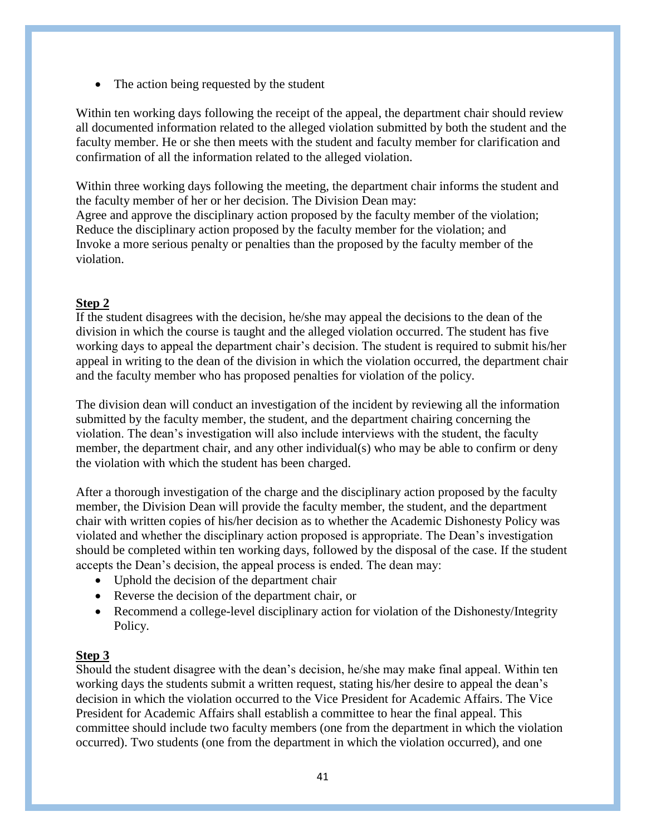• The action being requested by the student

Within ten working days following the receipt of the appeal, the department chair should review all documented information related to the alleged violation submitted by both the student and the faculty member. He or she then meets with the student and faculty member for clarification and confirmation of all the information related to the alleged violation.

Within three working days following the meeting, the department chair informs the student and the faculty member of her or her decision. The Division Dean may: Agree and approve the disciplinary action proposed by the faculty member of the violation; Reduce the disciplinary action proposed by the faculty member for the violation; and Invoke a more serious penalty or penalties than the proposed by the faculty member of the violation.

# **Step 2**

If the student disagrees with the decision, he/she may appeal the decisions to the dean of the division in which the course is taught and the alleged violation occurred. The student has five working days to appeal the department chair's decision. The student is required to submit his/her appeal in writing to the dean of the division in which the violation occurred, the department chair and the faculty member who has proposed penalties for violation of the policy.

The division dean will conduct an investigation of the incident by reviewing all the information submitted by the faculty member, the student, and the department chairing concerning the violation. The dean's investigation will also include interviews with the student, the faculty member, the department chair, and any other individual(s) who may be able to confirm or deny the violation with which the student has been charged.

After a thorough investigation of the charge and the disciplinary action proposed by the faculty member, the Division Dean will provide the faculty member, the student, and the department chair with written copies of his/her decision as to whether the Academic Dishonesty Policy was violated and whether the disciplinary action proposed is appropriate. The Dean's investigation should be completed within ten working days, followed by the disposal of the case. If the student accepts the Dean's decision, the appeal process is ended. The dean may:

- Uphold the decision of the department chair
- Reverse the decision of the department chair, or
- Recommend a college-level disciplinary action for violation of the Dishonesty/Integrity Policy.

# **Step 3**

Should the student disagree with the dean's decision, he/she may make final appeal. Within ten working days the students submit a written request, stating his/her desire to appeal the dean's decision in which the violation occurred to the Vice President for Academic Affairs. The Vice President for Academic Affairs shall establish a committee to hear the final appeal. This committee should include two faculty members (one from the department in which the violation occurred). Two students (one from the department in which the violation occurred), and one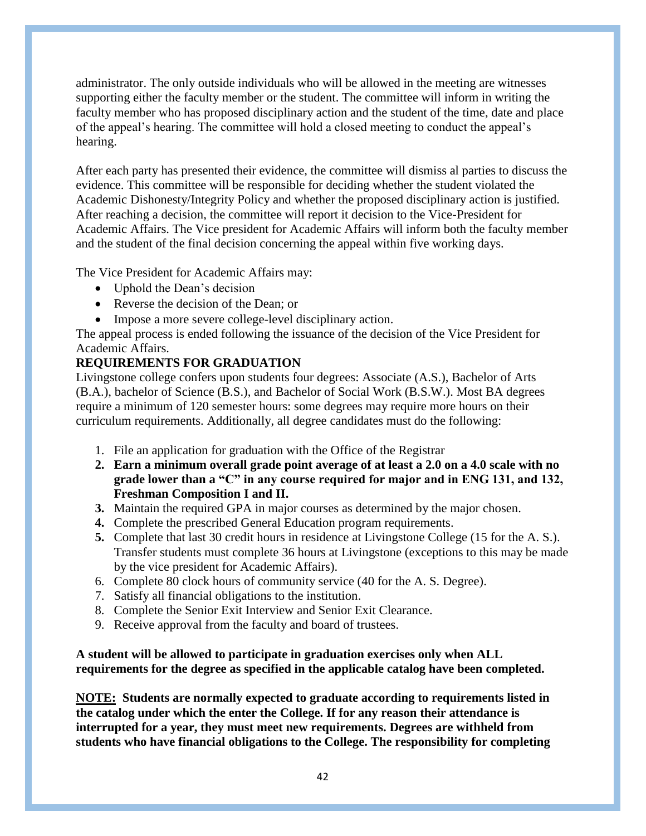administrator. The only outside individuals who will be allowed in the meeting are witnesses supporting either the faculty member or the student. The committee will inform in writing the faculty member who has proposed disciplinary action and the student of the time, date and place of the appeal's hearing. The committee will hold a closed meeting to conduct the appeal's hearing.

After each party has presented their evidence, the committee will dismiss al parties to discuss the evidence. This committee will be responsible for deciding whether the student violated the Academic Dishonesty/Integrity Policy and whether the proposed disciplinary action is justified. After reaching a decision, the committee will report it decision to the Vice-President for Academic Affairs. The Vice president for Academic Affairs will inform both the faculty member and the student of the final decision concerning the appeal within five working days.

The Vice President for Academic Affairs may:

- Uphold the Dean's decision
- Reverse the decision of the Dean; or
- Impose a more severe college-level disciplinary action.

The appeal process is ended following the issuance of the decision of the Vice President for Academic Affairs.

# **REQUIREMENTS FOR GRADUATION**

Livingstone college confers upon students four degrees: Associate (A.S.), Bachelor of Arts (B.A.), bachelor of Science (B.S.), and Bachelor of Social Work (B.S.W.). Most BA degrees require a minimum of 120 semester hours: some degrees may require more hours on their curriculum requirements. Additionally, all degree candidates must do the following:

- 1. File an application for graduation with the Office of the Registrar
- **2. Earn a minimum overall grade point average of at least a 2.0 on a 4.0 scale with no grade lower than a "C" in any course required for major and in ENG 131, and 132, Freshman Composition I and II.**
- **3.** Maintain the required GPA in major courses as determined by the major chosen.
- **4.** Complete the prescribed General Education program requirements.
- **5.** Complete that last 30 credit hours in residence at Livingstone College (15 for the A. S.). Transfer students must complete 36 hours at Livingstone (exceptions to this may be made by the vice president for Academic Affairs).
- 6. Complete 80 clock hours of community service (40 for the A. S. Degree).
- 7. Satisfy all financial obligations to the institution.
- 8. Complete the Senior Exit Interview and Senior Exit Clearance.
- 9. Receive approval from the faculty and board of trustees.

# **A student will be allowed to participate in graduation exercises only when ALL requirements for the degree as specified in the applicable catalog have been completed.**

**NOTE: Students are normally expected to graduate according to requirements listed in the catalog under which the enter the College. If for any reason their attendance is interrupted for a year, they must meet new requirements. Degrees are withheld from students who have financial obligations to the College. The responsibility for completing**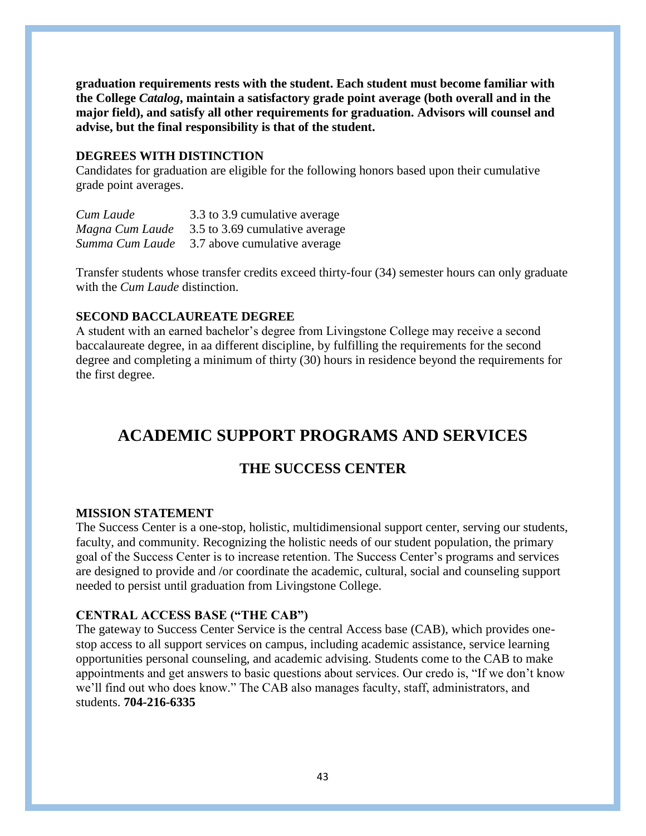**graduation requirements rests with the student. Each student must become familiar with the College** *Catalog***, maintain a satisfactory grade point average (both overall and in the major field), and satisfy all other requirements for graduation. Advisors will counsel and advise, but the final responsibility is that of the student.**

#### **DEGREES WITH DISTINCTION**

Candidates for graduation are eligible for the following honors based upon their cumulative grade point averages.

| Cum Laude       | 3.3 to 3.9 cumulative average  |
|-----------------|--------------------------------|
| Magna Cum Laude | 3.5 to 3.69 cumulative average |
| Summa Cum Laude | 3.7 above cumulative average   |

Transfer students whose transfer credits exceed thirty-four (34) semester hours can only graduate with the *Cum Laude* distinction.

## **SECOND BACCLAUREATE DEGREE**

A student with an earned bachelor's degree from Livingstone College may receive a second baccalaureate degree, in aa different discipline, by fulfilling the requirements for the second degree and completing a minimum of thirty (30) hours in residence beyond the requirements for the first degree.

# **ACADEMIC SUPPORT PROGRAMS AND SERVICES**

# **THE SUCCESS CENTER**

#### **MISSION STATEMENT**

The Success Center is a one-stop, holistic, multidimensional support center, serving our students, faculty, and community. Recognizing the holistic needs of our student population, the primary goal of the Success Center is to increase retention. The Success Center's programs and services are designed to provide and /or coordinate the academic, cultural, social and counseling support needed to persist until graduation from Livingstone College.

#### **CENTRAL ACCESS BASE ("THE CAB")**

The gateway to Success Center Service is the central Access base (CAB), which provides onestop access to all support services on campus, including academic assistance, service learning opportunities personal counseling, and academic advising. Students come to the CAB to make appointments and get answers to basic questions about services. Our credo is, "If we don't know we'll find out who does know." The CAB also manages faculty, staff, administrators, and students. **704-216-6335**